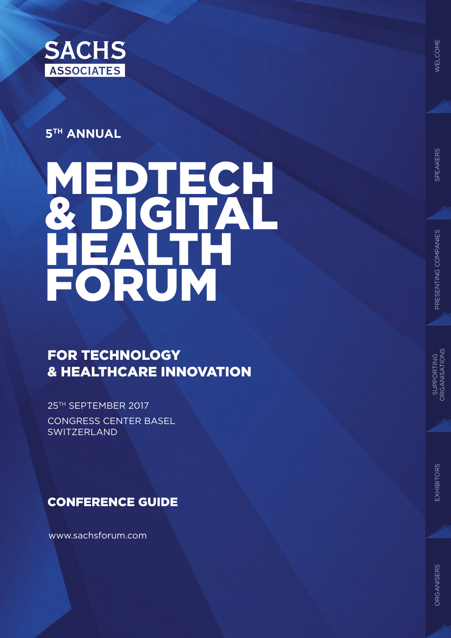

### **5TH ANNUAL**

# $\blacksquare$ & DIGITAL HEALTH FORUM

### FOR TECHNOLOGY & HEALTHCARE INNOVATION

25<sup>TH</sup> SEPTEMBER 2017 CONGRESS CENTER BASEL **SWITZERLAND** 

CONFERENCE GUIDE

www.sachsforum.com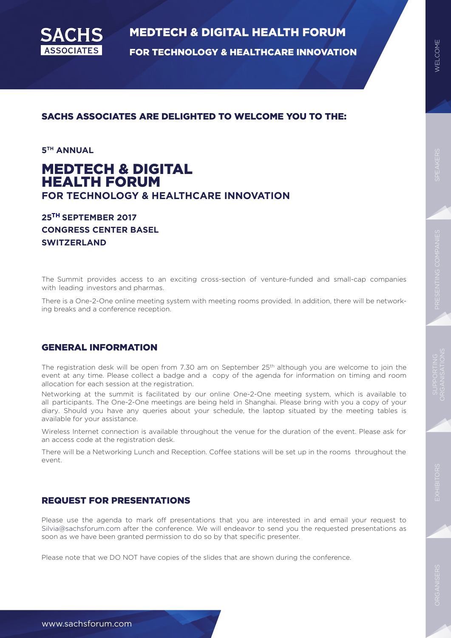

FOR TECHNOLOGY & HEALTHCARE INNOVATION

**5TH ANNUAL** 

### MEDTECH & DIGITAL HEALTH FORUM **FOR TECHNOLOGY & HEALTHCARE INNOVATION**

SACHS ASSOCIATES ARE DELIGHTED TO WELCOME YOU TO THE:

#### **25 SEPTEMBER 2017 TH CONGRESS CENTER BASEL SWITZERLAND**

The Summit provides access to an exciting cross-section of venture-funded and small-cap companies with leading investors and pharmas.

There is a One-2-One online meeting system with meeting rooms provided. In addition, there will be networking breaks and a conference reception.

#### GENERAL INFORMATION

The registration desk will be open from 7.30 am on September 25<sup>th</sup> although you are welcome to join the event at any time. Please collect a badge and a copy of the agenda for information on timing and room allocation for each session at the registration.

Networking at the summit is facilitated by our online One-2-One meeting system, which is available to all participants. The One-2-One meetings are being held in Shanghai. Please bring with you a copy of your diary. Should you have any queries about your schedule, the laptop situated by the meeting tables is available for your assistance.

Wireless Internet connection is available throughout the venue for the duration of the event. Please ask for an access code at the registration desk.

There will be a Networking Lunch and Reception. Coffee stations will be set up in the rooms throughout the event.

#### REQUEST FOR PRESENTATIONS

Please use the agenda to mark off presentations that you are interested in and email your request to Silvia@sachsforum.com after the conference. We will endeavor to send you the requested presentations as soon as we have been granted permission to do so by that specific presenter.

Please note that we DO NOT have copies of the slides that are shown during the conference.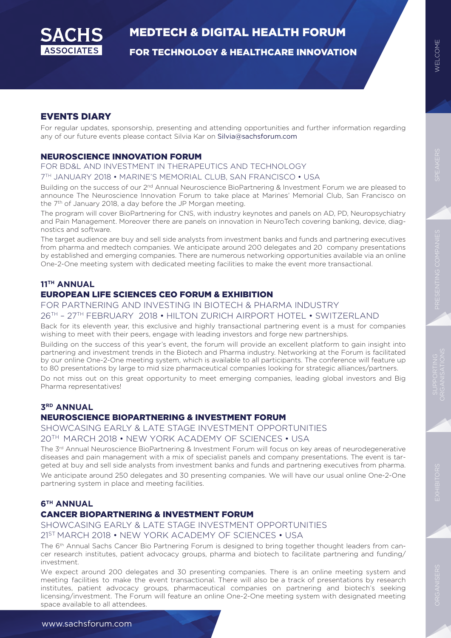

FOR TECHNOLOGY & HEALTHCARE INNOVATION

#### EVENTS DIARY

For regular updates, sponsorship, presenting and attending opportunities and further information regarding any of our future events please contact Silvia Kar on Silvia@sachsforum.com

#### NEUROSCIENCE INNOVATION FORUM

FOR BD&L AND INVESTMENT IN THERAPEUTICS AND TECHNOLOGY

#### 7TH JANUARY 2018 • MARINE'S MEMORIAL CLUB, SAN FRANCISCO • USA

Building on the success of our 2<sup>nd</sup> Annual Neuroscience BioPartnering & Investment Forum we are pleased to announce The Neuroscience Innovation Forum to take place at Marines' Memorial Club, San Francisco on the 7<sup>th</sup> of January 2018, a day before the JP Morgan meeting.

The program will cover BioPartnering for CNS, with industry keynotes and panels on AD, PD, Neuropsychiatry and Pain Management. Moreover there are panels on innovation in NeuroTech covering banking, device, diagnostics and software.

The target audience are buy and sell side analysts from investment banks and funds and partnering executives from pharma and medtech companies. We anticipate around 200 delegates and 20 company presentations by established and emerging companies. There are numerous networking opportunities available via an online One-2-One meeting system with dedicated meeting facilities to make the event more transactional.

### **11TH ANNUAL**

#### EUROPEAN LIFE SCIENCES CEO FORUM & EXHIBITION

FOR PARTNERING AND INVESTING IN BIOTECH & PHARMA INDUSTRY

26TH – 27TH FEBRUARY 2018 • HILTON ZURICH AIRPORT HOTEL • SWITZERLAND

Back for its eleventh year, this exclusive and highly transactional partnering event is a must for companies wishing to meet with their peers, engage with leading investors and forge new partnerships.

Building on the success of this year's event, the forum will provide an excellent platform to gain insight into partnering and investment trends in the Biotech and Pharma industry. Networking at the Forum is facilitated by our online One-2-One meeting system, which is available to all participants. The conference will feature up to 80 presentations by large to mid size pharmaceutical companies looking for strategic alliances/partners.

Do not miss out on this great opportunity to meet emerging companies, leading global investors and Big Pharma representatives!

#### **3RD ANNUAL**

#### NEUROSCIENCE BIOPARTNERING & INVESTMENT FORUM

SHOWCASING EARLY & LATE STAGE INVESTMENT OPPORTUNITIES 20TH MARCH 2018 • NEW YORK ACADEMY OF SCIENCES • USA

The 3rd Annual Neuroscience BioPartnering & Investment Forum will focus on key areas of neurodegenerative diseases and pain management with a mix of specialist panels and company presentations. The event is targeted at buy and sell side analysts from investment banks and funds and partnering executives from pharma. We anticipate around 250 delegates and 30 presenting companies. We will have our usual online One-2-One partnering system in place and meeting facilities.

#### **6TH ANNUAL**

#### CANCER BIOPARTNERING & INVESTMENT FORUM

#### SHOWCASING EARLY & LATE STAGE INVESTMENT OPPORTUNITIES 21ST MARCH 2018 • NEW YORK ACADEMY OF SCIENCES • USA

The 6<sup>th</sup> Annual Sachs Cancer Bio Partnering Forum is designed to bring together thought leaders from cancer research institutes, patient advocacy groups, pharma and biotech to facilitate partnering and funding/ investment.

We expect around 200 delegates and 30 presenting companies. There is an online meeting system and meeting facilities to make the event transactional. There will also be a track of presentations by research institutes, patient advocacy groups, pharmaceutical companies on partnering and biotech's seeking licensing/investment. The Forum will feature an online One-2-One meeting system with designated meeting space available to all attendees.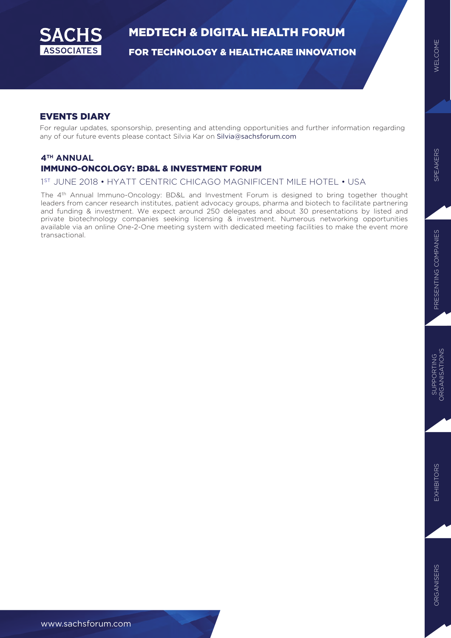

FOR TECHNOLOGY & HEALTHCARE INNOVATION

#### EVENTS DIARY

For regular updates, sponsorship, presenting and attending opportunities and further information regarding any of our future events please contact Silvia Kar on Silvia@sachsforum.com

#### **4TH ANNUAL**  IMMUNO-ONCOLOGY: BD&L & INVESTMENT FORUM

#### 1 ST JUNE 2018 • HYATT CENTRIC CHICAGO MAGNIFICENT MILE HOTEL • USA

The 4th Annual Immuno-Oncology: BD&L and Investment Forum is designed to bring together thought leaders from cancer research institutes, patient advocacy groups, pharma and biotech to facilitate partnering and funding & investment. We expect around 250 delegates and about 30 presentations by listed and private biotechnology companies seeking licensing & investment. Numerous networking opportunities available via an online One-2-One meeting system with dedicated meeting facilities to make the event more transactional.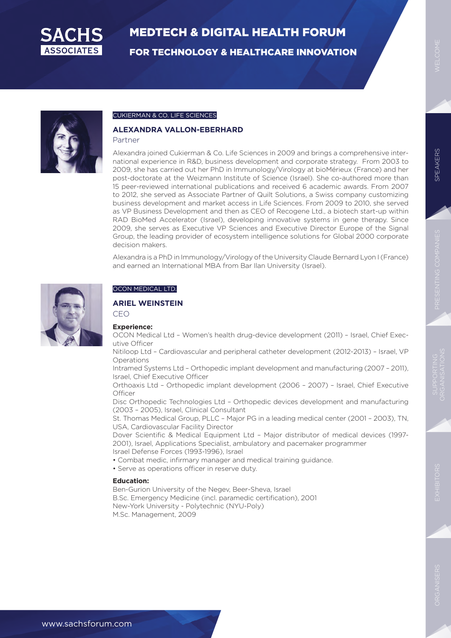

FOR TECHNOLOGY & HEALTHCARE INNOVATION



#### CUKIERMAN & CO. LIFE SCIENCES

#### **ALEXANDRA VALLON-EBERHARD**

#### Partner

Alexandra joined Cukierman & Co. Life Sciences in 2009 and brings a comprehensive international experience in R&D, business development and corporate strategy. From 2003 to 2009, she has carried out her PhD in Immunology/Virology at bioMérieux (France) and her post-doctorate at the Weizmann Institute of Science (Israel). She co-authored more than 15 peer-reviewed international publications and received 6 academic awards. From 2007 to 2012, she served as Associate Partner of Quilt Solutions, a Swiss company customizing business development and market access in Life Sciences. From 2009 to 2010, she served as VP Business Development and then as CEO of Recogene Ltd., a biotech start-up within RAD BioMed Accelerator (Israel), developing innovative systems in gene therapy. Since 2009, she serves as Executive VP Sciences and Executive Director Europe of the Signal Group, the leading provider of ecosystem intelligence solutions for Global 2000 corporate decision makers.

Alexandra is a PhD in Immunology/Virology of the University Claude Bernard Lyon I (France) and earned an International MBA from Bar Ilan University (Israel).



#### OCON MEDICAL LTD.

#### **ARIEL WEINSTEIN**

CEO

#### **Experience:**

OCON Medical Ltd – Women's health drug-device development (2011) – Israel, Chief Executive Officer

Nitiloop Ltd – Cardiovascular and peripheral catheter development (2012-2013) – Israel, VP Operations

Intramed Systems Ltd – Orthopedic implant development and manufacturing (2007 – 2011), Israel, Chief Executive Officer

Orthoaxis Ltd – Orthopedic implant development (2006 – 2007) – Israel, Chief Executive **Officer** 

Disc Orthopedic Technologies Ltd – Orthopedic devices development and manufacturing (2003 – 2005), Israel, Clinical Consultant

St. Thomas Medical Group, PLLC – Major PG in a leading medical center (2001 – 2003), TN, USA, Cardiovascular Facility Director

Dover Scientific & Medical Equipment Ltd – Major distributor of medical devices (1997- 2001), Israel, Applications Specialist, ambulatory and pacemaker programmer Israel Defense Forces (1993-1996), Israel

- Combat medic, infirmary manager and medical training guidance.
- Serve as operations officer in reserve duty.

#### **Education:**

Ben-Gurion University of the Negev, Beer-Sheva, Israel B.Sc. Emergency Medicine (incl. paramedic certification), 2001 New-York University - Polytechnic (NYU-Poly) M.Sc. Management, 2009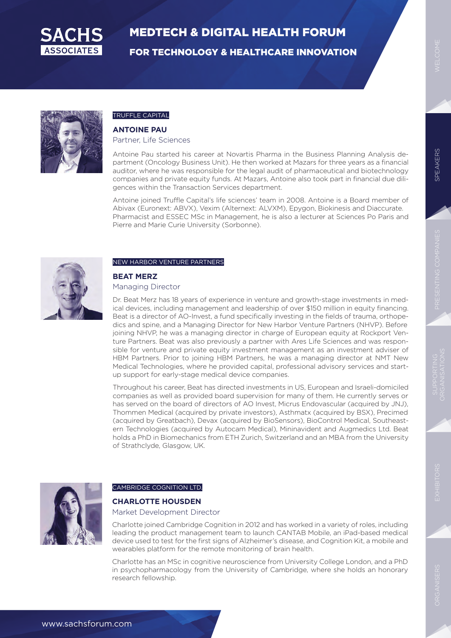

FOR TECHNOLOGY & HEALTHCARE INNOVATION



### TRUFFLE CAPITAL

#### **ANTOINE PAU**

Partner, Life Sciences

Antoine Pau started his career at Novartis Pharma in the Business Planning Analysis department (Oncology Business Unit). He then worked at Mazars for three years as a financial auditor, where he was responsible for the legal audit of pharmaceutical and biotechnology companies and private equity funds. At Mazars, Antoine also took part in financial due diligences within the Transaction Services department.

Antoine joined Truffle Capital's life sciences' team in 2008. Antoine is a Board member of Abivax (Euronext: ABVX), Vexim (Alternext: ALVXM), Epygon, Biokinesis and Diaccurate. Pharmacist and ESSEC MSc in Management, he is also a lecturer at Sciences Po Paris and Pierre and Marie Curie University (Sorbonne).



#### NEW HARBOR VENTURE PARTNERS

#### **BEAT MERZ**

#### Managing Director

Dr. Beat Merz has 18 years of experience in venture and growth-stage investments in medical devices, including management and leadership of over \$150 million in equity financing. Beat is a director of AO-Invest, a fund specifically investing in the fields of trauma, orthopedics and spine, and a Managing Director for New Harbor Venture Partners (NHVP). Before joining NHVP, he was a managing director in charge of European equity at Rockport Venture Partners. Beat was also previously a partner with Ares Life Sciences and was responsible for venture and private equity investment management as an investment adviser of HBM Partners. Prior to joining HBM Partners, he was a managing director at NMT New Medical Technologies, where he provided capital, professional advisory services and startup support for early-stage medical device companies.

Throughout his career, Beat has directed investments in US, European and Israeli-domiciled companies as well as provided board supervision for many of them. He currently serves or has served on the board of directors of AO Invest, Micrus Endovascular (acquired by JNJ), Thommen Medical (acquired by private investors), Asthmatx (acquired by BSX), Precimed (acquired by Greatbach), Devax (acquired by BioSensors), BioControl Medical, Southeastern Technologies (acquired by Autocam Medical), Mininavident and Augmedics Ltd. Beat holds a PhD in Biomechanics from ETH Zurich, Switzerland and an MBA from the University of Strathclyde, Glasgow, UK.



#### CAMBRIDGE COGNITION LTD.

#### **CHARLOTTE HOUSDEN**

#### Market Development Director

Charlotte joined Cambridge Cognition in 2012 and has worked in a variety of roles, including leading the product management team to launch CANTAB Mobile, an iPad-based medical device used to test for the first signs of Alzheimer's disease, and Cognition Kit, a mobile and wearables platform for the remote monitoring of brain health.

Charlotte has an MSc in cognitive neuroscience from University College London, and a PhD in psychopharmacology from the University of Cambridge, where she holds an honorary research fellowship.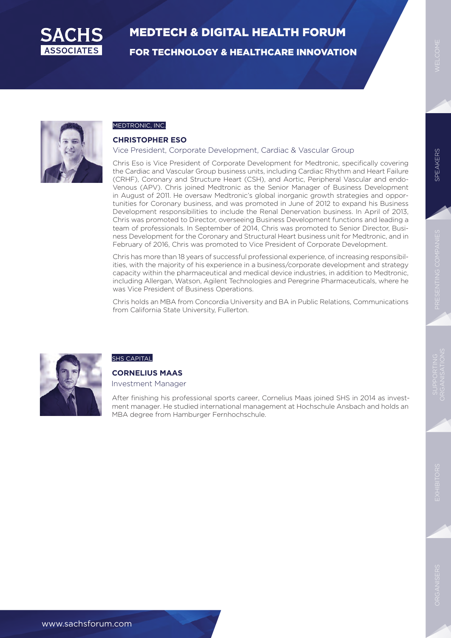

FOR TECHNOLOGY & HEALTHCARE INNOVATION



#### MEDTRONIC, INC.

#### **CHRISTOPHER ESO**

#### Vice President, Corporate Development, Cardiac & Vascular Group

Chris Eso is Vice President of Corporate Development for Medtronic, specifically covering the Cardiac and Vascular Group business units, including Cardiac Rhythm and Heart Failure (CRHF), Coronary and Structure Heart (CSH), and Aortic, Peripheral Vascular and endo-Venous (APV). Chris joined Medtronic as the Senior Manager of Business Development in August of 2011. He oversaw Medtronic's global inorganic growth strategies and opportunities for Coronary business, and was promoted in June of 2012 to expand his Business Development responsibilities to include the Renal Denervation business. In April of 2013, Chris was promoted to Director, overseeing Business Development functions and leading a team of professionals. In September of 2014, Chris was promoted to Senior Director, Business Development for the Coronary and Structural Heart business unit for Medtronic, and in February of 2016, Chris was promoted to Vice President of Corporate Development.

Chris has more than 18 years of successful professional experience, of increasing responsibilities, with the majority of his experience in a business/corporate development and strategy capacity within the pharmaceutical and medical device industries, in addition to Medtronic, including Allergan, Watson, Agilent Technologies and Peregrine Pharmaceuticals, where he was Vice President of Business Operations.

Chris holds an MBA from Concordia University and BA in Public Relations, Communications from California State University, Fullerton.



#### SHS CAPITAL

**CORNELIUS MAAS**

Investment Manager

After finishing his professional sports career, Cornelius Maas joined SHS in 2014 as investment manager. He studied international management at Hochschule Ansbach and holds an MBA degree from Hamburger Fernhochschule.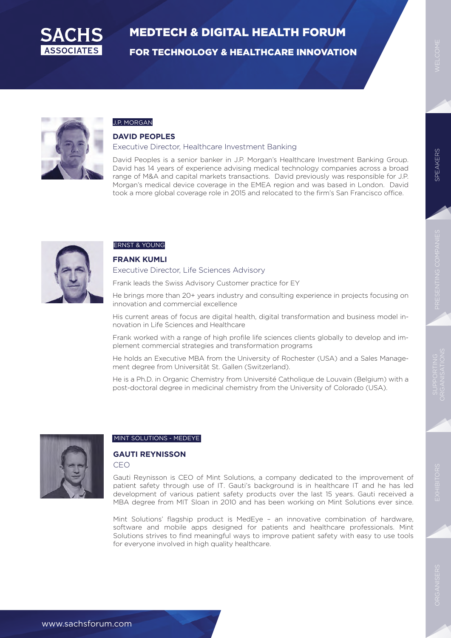

FOR TECHNOLOGY & HEALTHCARE INNOVATION



#### J.P. MORGAN

#### **DAVID PEOPLES**

#### Executive Director, Healthcare Investment Banking

David Peoples is a senior banker in J.P. Morgan's Healthcare Investment Banking Group. David has 14 years of experience advising medical technology companies across a broad range of M&A and capital markets transactions. David previously was responsible for J.P. Morgan's medical device coverage in the EMEA region and was based in London. David took a more global coverage role in 2015 and relocated to the firm's San Francisco office.



#### ERNST & YOUNG

#### **FRANK KUMLI**

#### Executive Director, Life Sciences Advisory

Frank leads the Swiss Advisory Customer practice for EY

He brings more than 20+ years industry and consulting experience in projects focusing on innovation and commercial excellence

His current areas of focus are digital health, digital transformation and business model innovation in Life Sciences and Healthcare

Frank worked with a range of high profile life sciences clients globally to develop and implement commercial strategies and transformation programs

He holds an Executive MBA from the University of Rochester (USA) and a Sales Management degree from Universität St. Gallen (Switzerland).

He is a Ph.D. in Organic Chemistry from Université Catholique de Louvain (Belgium) with a post-doctoral degree in medicinal chemistry from the University of Colorado (USA).



#### MINT SOLUTIONS - MEDEYE

#### **GAUTI REYNISSON** CEO

Gauti Reynisson is CEO of Mint Solutions, a company dedicated to the improvement of patient safety through use of IT. Gauti's background is in healthcare IT and he has led development of various patient safety products over the last 15 years. Gauti received a MBA degree from MIT Sloan in 2010 and has been working on Mint Solutions ever since.

Mint Solutions' flagship product is MedEye – an innovative combination of hardware, software and mobile apps designed for patients and healthcare professionals. Mint Solutions strives to find meaningful ways to improve patient safety with easy to use tools for everyone involved in high quality healthcare.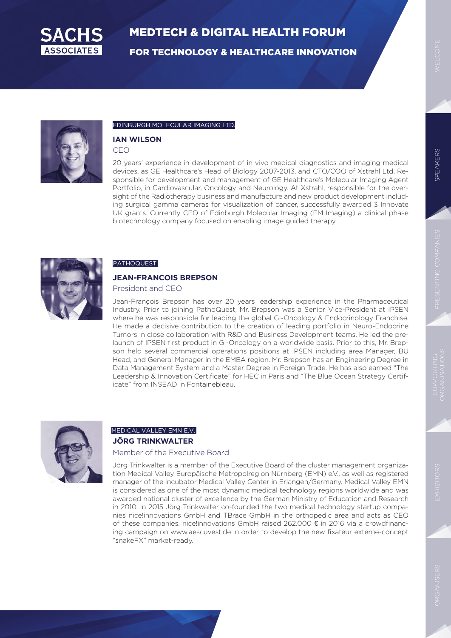

FOR TECHNOLOGY & HEALTHCARE INNOVATION





#### EDINBURGH MOLECULAR IMAGING LTD.

### **IAN WILSON**

CEO

20 years' experience in development of in vivo medical diagnostics and imaging medical devices, as GE Healthcare's Head of Biology 2007-2013, and CTO/COO of Xstrahl Ltd. Responsible for development and management of GE Healthcare's Molecular Imaging Agent Portfolio, in Cardiovascular, Oncology and Neurology. At Xstrahl, responsible for the oversight of the Radiotherapy business and manufacture and new product development including surgical gamma cameras for visualization of cancer, successfully awarded 3 Innovate UK grants. Currently CEO of Edinburgh Molecular Imaging (EM Imaging) a clinical phase biotechnology company focused on enabling image guided therapy.



#### **PATHOQUEST**

### **JEAN-FRANCOIS BREPSON**

President and CEO

Jean-François Brepson has over 20 years leadership experience in the Pharmaceutical Industry. Prior to joining PathoQuest, Mr. Brepson was a Senior Vice-President at IPSEN where he was responsible for leading the global GI-Oncology & Endocrinology Franchise. He made a decisive contribution to the creation of leading portfolio in Neuro-Endocrine Tumors in close collaboration with R&D and Business Development teams. He led the prelaunch of IPSEN first product in GI-Oncology on a worldwide basis. Prior to this, Mr. Brepson held several commercial operations positions at IPSEN including area Manager, BU Head, and General Manager in the EMEA region. Mr. Brepson has an Engineering Degree in Data Management System and a Master Degree in Foreign Trade. He has also earned "The Leadership & Innovation Certificate" for HEC in Paris and "The Blue Ocean Strategy Certificate" from INSEAD in Fontainebleau.



#### **JÖRG TRINKWALTER**  MEDICAL VALLEY EMN E.V.

#### Member of the Executive Board

Jörg Trinkwalter is a member of the Executive Board of the cluster management organization Medical Valley Europäische Metropolregion Nürnberg (EMN) e.V., as well as registered manager of the incubator Medical Valley Center in Erlangen/Germany. Medical Valley EMN is considered as one of the most dynamic medical technology regions worldwide and was awarded national cluster of excellence by the German Ministry of Education and Research in 2010. In 2015 Jörg Trinkwalter co-founded the two medical technology startup companies nice!innovations GmbH and TBrace GmbH in the orthopedic area and acts as CEO of these companies. nice!innovations GmbH raised 262.000 € in 2016 via a crowdfinancing campaign on www.aescuvest.de in order to develop the new fixateur externe-concept "snakeFX" market-ready.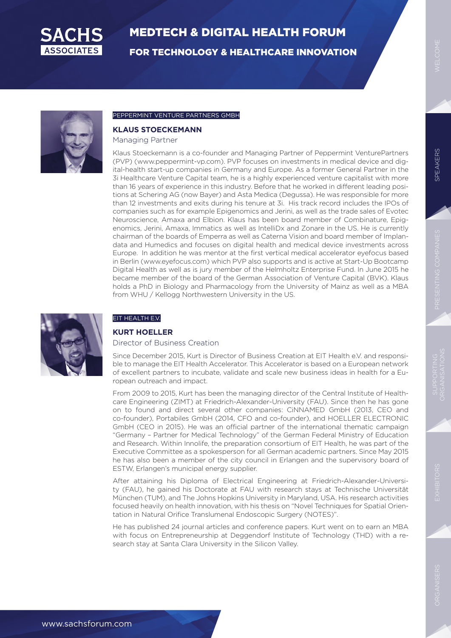

FOR TECHNOLOGY & HEALTHCARE INNOVATION

SPEAKERS

**SPEAKERS** 



#### PEPPERMINT VENTURE PARTNERS GMBH

#### **KLAUS STOECKEMANN**

Managing Partner

Klaus Stoeckemann is a co-founder and Managing Partner of Peppermint VenturePartners (PVP) (www.peppermint-vp.com). PVP focuses on investments in medical device and digital-health start-up companies in Germany and Europe. As a former General Partner in the 3i Healthcare Venture Capital team, he is a highly experienced venture capitalist with more than 16 years of experience in this industry. Before that he worked in different leading positions at Schering AG (now Bayer) and Asta Medica (Degussa). He was responsible for more than 12 investments and exits during his tenure at 3i. His track record includes the IPOs of companies such as for example Epigenomics and Jerini, as well as the trade sales of Evotec Neuroscience, Amaxa and Elbion. Klaus has been board member of Combinature, Epigenomics, Jerini, Amaxa, Immatics as well as IntelliDx and Zonare in the US. He is currently chairman of the boards of Emperra as well as Caterna Vision and board member of Implandata and Humedics and focuses on digital health and medical device investments across Europe. In addition he was mentor at the first vertical medical accelerator eyefocus based in Berlin (www.eyefocus.com) which PVP also supports and is active at Start-Up Bootcamp Digital Health as well as is jury member of the Helmholtz Enterprise Fund. In June 2015 he became member of the board of the German Association of Venture Capital (BVK). Klaus holds a PhD in Biology and Pharmacology from the University of Mainz as well as a MBA from WHU / Kellogg Northwestern University in the US.



#### EIT HEALTH E.V.

#### **KURT HOELLER**

#### Director of Business Creation

Since December 2015, Kurt is Director of Business Creation at EIT Health e.V. and responsible to manage the EIT Health Accelerator. This Accelerator is based on a European network of excellent partners to incubate, validate and scale new business ideas in health for a European outreach and impact.

From 2009 to 2015, Kurt has been the managing director of the Central Institute of Healthcare Engineering (ZIMT) at Friedrich-Alexander-University (FAU). Since then he has gone on to found and direct several other companies: CiNNAMED GmbH (2013, CEO and co-founder), Portabiles GmbH (2014, CFO and co-founder), and HOELLER ELECTRONIC GmbH (CEO in 2015). He was an official partner of the international thematic campaign "Germany – Partner for Medical Technology" of the German Federal Ministry of Education and Research. Within Innolife, the preparation consortium of EIT Health, he was part of the Executive Committee as a spokesperson for all German academic partners. Since May 2015 he has also been a member of the city council in Erlangen and the supervisory board of ESTW, Erlangen's municipal energy supplier.

After attaining his Diploma of Electrical Engineering at Friedrich-Alexander-University (FAU), he gained his Doctorate at FAU with research stays at Technische Universität München (TUM), and The Johns Hopkins University in Maryland, USA. His research activities focused heavily on health innovation, with his thesis on "Novel Techniques for Spatial Orientation in Natural Orifice Translumenal Endoscopic Surgery (NOTES)".

He has published 24 journal articles and conference papers. Kurt went on to earn an MBA with focus on Entrepreneurship at Deggendorf Institute of Technology (THD) with a research stay at Santa Clara University in the Silicon Valley.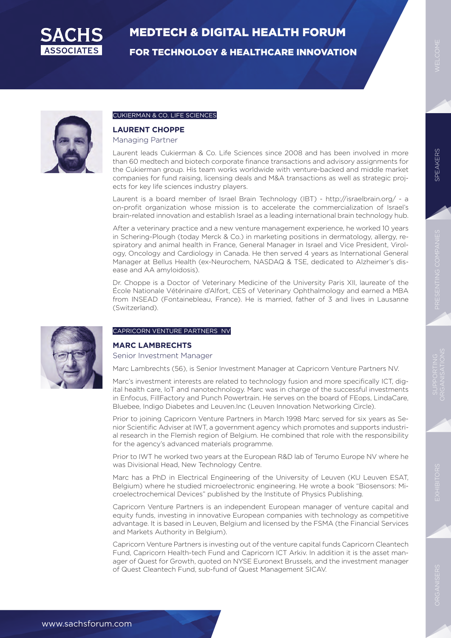

FOR TECHNOLOGY & HEALTHCARE INNOVATION



#### CUKIERMAN & CO. LIFE SCIENCES

#### **LAURENT CHOPPE**

Managing Partner

Laurent leads Cukierman & Co. Life Sciences since 2008 and has been involved in more than 60 medtech and biotech corporate finance transactions and advisory assignments for the Cukierman group. His team works worldwide with venture-backed and middle market companies for fund raising, licensing deals and M&A transactions as well as strategic projects for key life sciences industry players.

Laurent is a board member of Israel Brain Technology (IBT) - http://israelbrain.org/ - a on-profit organization whose mission is to accelerate the commercialization of Israel's brain-related innovation and establish Israel as a leading international brain technology hub.

After a veterinary practice and a new venture management experience, he worked 10 years in Schering-Plough (today Merck & Co.) in marketing positions in dermatology, allergy, respiratory and animal health in France, General Manager in Israel and Vice President, Virology, Oncology and Cardiology in Canada. He then served 4 years as International General Manager at Bellus Health (ex-Neurochem, NASDAQ & TSE, dedicated to Alzheimer's disease and AA amyloidosis).

Dr. Choppe is a Doctor of Veterinary Medicine of the University Paris XII, laureate of the École Nationale Vétérinaire d'Alfort, CES of Veterinary Ophthalmology and earned a MBA from INSEAD (Fontainebleau, France). He is married, father of 3 and lives in Lausanne (Switzerland).



#### CAPRICORN VENTURE PARTNERS NV

### **MARC LAMBRECHTS**

Senior Investment Manager

Marc Lambrechts (56), is Senior Investment Manager at Capricorn Venture Partners NV.

Marc's investment interests are related to technology fusion and more specifically ICT, digital health care, IoT and nanotechnology. Marc was in charge of the successful investments in Enfocus, FillFactory and Punch Powertrain. He serves on the board of FEops, LindaCare, Bluebee, Indigo Diabetes and Leuven.Inc (Leuven Innovation Networking Circle).

Prior to joining Capricorn Venture Partners in March 1998 Marc served for six years as Senior Scientific Adviser at IWT, a government agency which promotes and supports industrial research in the Flemish region of Belgium. He combined that role with the responsibility for the agency's advanced materials programme.

Prior to IWT he worked two years at the European R&D lab of Terumo Europe NV where he was Divisional Head, New Technology Centre.

Marc has a PhD in Electrical Engineering of the University of Leuven (KU Leuven ESAT, Belgium) where he studied microelectronic engineering. He wrote a book "Biosensors: Microelectrochemical Devices" published by the Institute of Physics Publishing.

Capricorn Venture Partners is an independent European manager of venture capital and equity funds, investing in innovative European companies with technology as competitive advantage. It is based in Leuven, Belgium and licensed by the FSMA (the Financial Services and Markets Authority in Belgium).

Capricorn Venture Partners is investing out of the venture capital funds Capricorn Cleantech Fund, Capricorn Health-tech Fund and Capricorn ICT Arkiv. In addition it is the asset manager of Quest for Growth, quoted on NYSE Euronext Brussels, and the investment manager of Quest Cleantech Fund, sub-fund of Quest Management SICAV.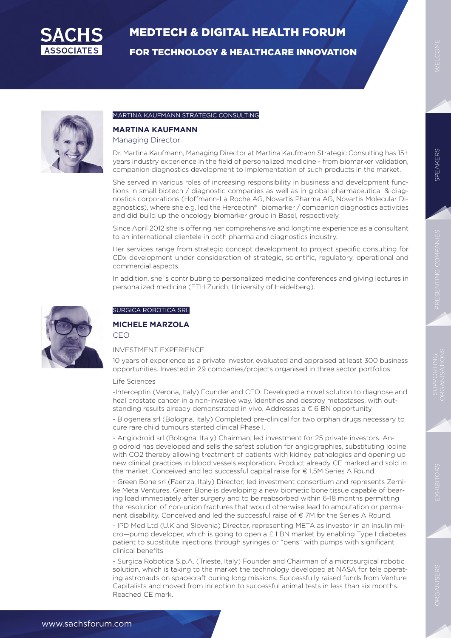

FOR TECHNOLOGY & HEALTHCARE INNOVATION



#### MARTINA KAUFMANN STRATEGIC CONSULTING

#### **MARTINA KAUFMANN**

Managing Director

Dr. Martina Kaufmann, Managing Director at Martina Kaufmann Strategic Consulting has 15+ years industry experience in the field of personalized medicine - from biomarker validation, companion diagnostics development to implementation of such products in the market.

She served in various roles of increasing responsibility in business and development functions in small biotech / diagnostic companies as well as in global pharmaceutical & diagnostics corporations (Hoffmann-La Roche AG, Novartis Pharma AG, Novartis Molecular Diagnostics), where she e.g. led the Herceptin® biomarker / companion diagnostics activities and did build up the oncology biomarker group in Basel, respectively.

Since April 2012 she is offering her comprehensive and longtime experience as a consultant to an international clientele in both pharma and diagnostics industry.

Her services range from strategic concept development to project specific consulting for CDx development under consideration of strategic, scientific, regulatory, operational and commercial aspects.

In addition, she´s contributing to personalized medicine conferences and giving lectures in personalized medicine (ETH Zurich, University of Heidelberg).



#### SURGICA ROBOTICA SRL

#### **MICHELE MARZOLA** CEO

#### INVESTMENT EXPERIENCE

10 years of experience as a private investor, evaluated and appraised at least 300 business opportunities. Invested in 29 companies/projects organised in three sector portfolios:

#### Life Sciences

-Interceptin (Verona, Italy) Founder and CEO. Developed a novel solution to diagnose and heal prostate cancer in a non-invasive way. Identifies and destroy metastases, with outstanding results already demonstrated in vivo. Addresses a € 6 BN opportunity.

- Biogenera srl (Bologna, Italy) Completed pre-clinical for two orphan drugs necessary to cure rare child tumours started clinical Phase I.

- Angiodroid srl (Bologna, Italy) Chairman; led investment for 25 private investors. Angiodroid has developed and sells the safest solution for angiographies, substituting iodine with CO2 thereby allowing treatment of patients with kidney pathologies and opening up new clinical practices in blood vessels exploration. Product already CE marked and sold in the market. Conceived and led successful capital raise for € 1,5M Series A Round.

- Green Bone srl (Faenza, Italy) Director; led investment consortium and represents Zernike Meta Ventures. Green Bone is developing a new biometic bone tissue capable of bearing load immediately after surgery and to be reabsorbed within 6-18 months permitting the resolution of non-union fractures that would otherwise lead to amputation or permanent disability. Conceived and led the successful raise of € 7M for the Series A Round.

- IPD Med Ltd (U.K and Slovenia) Director, representing META as investor in an insulin mi- $\text{cro}-\text{pump}$  developer, which is going to open a  $\text{\pounds}$  1 BN market by enabling Type I diabetes patient to substitute injections through syringes or "pens" with pumps with significant clinical benefits

- Surgica Robotica S.p.A. (Trieste, Italy) Founder and Chairman of a microsurgical robotic solution, which is taking to the market the technology developed at NASA for tele operating astronauts on spacecraft during long missions. Successfully raised funds from Venture Capitalists and moved from inception to successful animal tests in less than six months. Reached CE mark.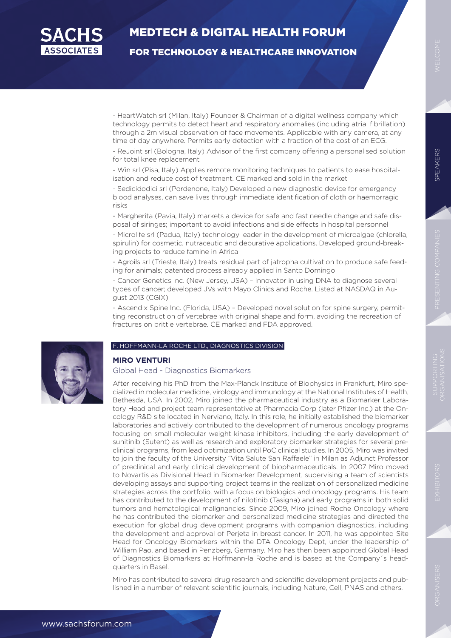

FOR TECHNOLOGY & HEALTHCARE INNOVATION

- HeartWatch srl (Milan, Italy) Founder & Chairman of a digital wellness company which technology permits to detect heart and respiratory anomalies (including atrial fibrillation) through a 2m visual observation of face movements. Applicable with any camera, at any time of day anywhere. Permits early detection with a fraction of the cost of an ECG.

- ReJoint srl (Bologna, Italy) Advisor of the first company offering a personalised solution for total knee replacement

- Win srl (Pisa, Italy) Applies remote monitoring techniques to patients to ease hospitalisation and reduce cost of treatment. CE marked and sold in the market

- Sedicidodici srl (Pordenone, Italy) Developed a new diagnostic device for emergency blood analyses, can save lives through immediate identification of cloth or haemorragic risks

- Margherita (Pavia, Italy) markets a device for safe and fast needle change and safe disposal of siringes; important to avoid infections and side effects in hospital personnel

- Microlife srl (Padua, Italy) technology leader in the development of microalgae (chlorella, spirulin) for cosmetic, nutraceutic and depurative applications. Developed ground-breaking projects to reduce famine in Africa

- Agroils srl (Trieste, Italy) treats residual part of jatropha cultivation to produce safe feeding for animals; patented process already applied in Santo Domingo

- Cancer Genetics Inc. (New Jersey, USA) – Innovator in using DNA to diagnose several types of cancer; developed JVs with Mayo Clinics and Roche. Listed at NASDAQ in August 2013 (CGIX)

- Ascendix Spine Inc. (Florida, USA) – Developed novel solution for spine surgery, permitting reconstruction of vertebrae with original shape and form, avoiding the recreation of fractures on brittle vertebrae. CE marked and FDA approved.

#### F. HOFFMANN-LA ROCHE LTD., DIAGNOSTICS DIVISION



#### **MIRO VENTURI**

Global Head - Diagnostics Biomarkers

After receiving his PhD from the Max-Planck Institute of Biophysics in Frankfurt, Miro specialized in molecular medicine, virology and immunology at the National Institutes of Health, Bethesda, USA. In 2002, Miro joined the pharmaceutical industry as a Biomarker Laboratory Head and project team representative at Pharmacia Corp (later Pfizer Inc.) at the Oncology R&D site located in Nerviano, Italy. In this role, he initially established the biomarker laboratories and actively contributed to the development of numerous oncology programs focusing on small molecular weight kinase inhibitors, including the early development of sunitinib (Sutent) as well as research and exploratory biomarker strategies for several preclinical programs, from lead optimization until PoC clinical studies. In 2005, Miro was invited to join the faculty of the University "Vita Salute San Raffaele" in Milan as Adjunct Professor of preclinical and early clinical development of biopharmaceuticals. In 2007 Miro moved to Novartis as Divisional Head in Biomarker Development, supervising a team of scientists developing assays and supporting project teams in the realization of personalized medicine strategies across the portfolio, with a focus on biologics and oncology programs. His team has contributed to the development of nilotinib (Tasigna) and early programs in both solid tumors and hematological malignancies. Since 2009, Miro joined Roche Oncology where he has contributed the biomarker and personalized medicine strategies and directed the execution for global drug development programs with companion diagnostics, including the development and approval of Perjeta in breast cancer. In 2011, he was appointed Site Head for Oncology Biomarkers within the DTA Oncology Dept, under the leadership of William Pao, and based in Penzberg, Germany. Miro has then been appointed Global Head of Diagnostics Biomarkers at Hoffmann-la Roche and is based at the Company´s headquarters in Basel.

Miro has contributed to several drug research and scientific development projects and published in a number of relevant scientific journals, including Nature, Cell, PNAS and others.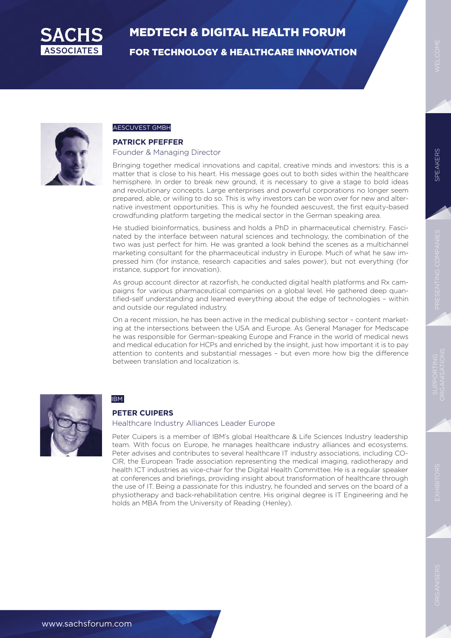

FOR TECHNOLOGY & HEALTHCARE INNOVATION



#### AESCUVEST GMBH

#### **PATRICK PFEFFER**

#### Founder & Managing Director

Bringing together medical innovations and capital, creative minds and investors: this is a matter that is close to his heart. His message goes out to both sides within the healthcare hemisphere. In order to break new ground, it is necessary to give a stage to bold ideas and revolutionary concepts. Large enterprises and powerful corporations no longer seem prepared, able, or willing to do so. This is why investors can be won over for new and alternative investment opportunities. This is why he founded aescuvest, the first equity-based crowdfunding platform targeting the medical sector in the German speaking area.

He studied bioinformatics, business and holds a PhD in pharmaceutical chemistry. Fascinated by the interface between natural sciences and technology, the combination of the two was just perfect for him. He was granted a look behind the scenes as a multichannel marketing consultant for the pharmaceutical industry in Europe. Much of what he saw impressed him (for instance, research capacities and sales power), but not everything (for instance, support for innovation).

As group account director at razorfish, he conducted digital health platforms and Rx campaigns for various pharmaceutical companies on a global level. He gathered deep quantified-self understanding and learned everything about the edge of technologies – within and outside our regulated industry.

On a recent mission, he has been active in the medical publishing sector – content marketing at the intersections between the USA and Europe. As General Manager for Medscape he was responsible for German-speaking Europe and France in the world of medical news and medical education for HCPs and enriched by the insight, just how important it is to pay attention to contents and substantial messages – but even more how big the difference between translation and localization is.



#### IBM

#### **PETER CUIPERS**

#### Healthcare Industry Alliances Leader Europe

Peter Cuipers is a member of IBM's global Healthcare & Life Sciences Industry leadership team. With focus on Europe, he manages healthcare industry alliances and ecosystems. Peter advises and contributes to several healthcare IT industry associations, including CO-CIR, the European Trade association representing the medical imaging, radiotherapy and health ICT industries as vice-chair for the Digital Health Committee. He is a regular speaker at conferences and briefings, providing insight about transformation of healthcare through the use of IT. Being a passionate for this industry, he founded and serves on the board of a physiotherapy and back-rehabilitation centre. His original degree is IT Engineering and he holds an MBA from the University of Reading (Henley).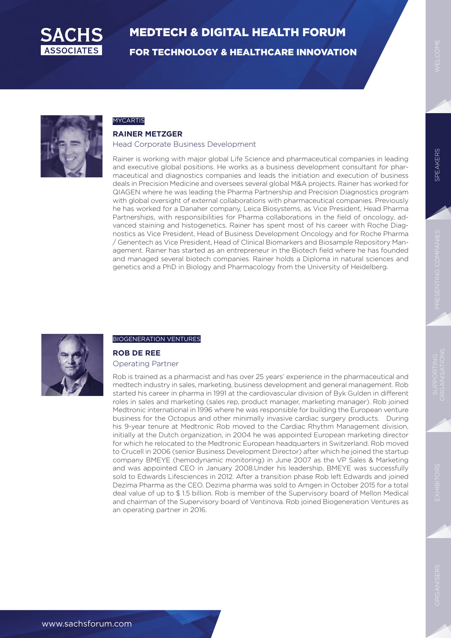

FOR TECHNOLOGY & HEALTHCARE INNOVATION



### MYCARTIS

#### **RAINER METZGER**

Head Corporate Business Development

Rainer is working with major global Life Science and pharmaceutical companies in leading and executive global positions. He works as a business development consultant for pharmaceutical and diagnostics companies and leads the initiation and execution of business deals in Precision Medicine and oversees several global M&A projects. Rainer has worked for QIAGEN where he was leading the Pharma Partnership and Precision Diagnostics program with global oversight of external collaborations with pharmaceutical companies. Previously he has worked for a Danaher company, Leica Biosystems, as Vice President, Head Pharma Partnerships, with responsibilities for Pharma collaborations in the field of oncology, advanced staining and histogenetics. Rainer has spent most of his career with Roche Diagnostics as Vice President, Head of Business Development Oncology and for Roche Pharma / Genentech as Vice President, Head of Clinical Biomarkers and Biosample Repository Management. Rainer has started as an entrepreneur in the Biotech field where he has founded and managed several biotech companies. Rainer holds a Diploma in natural sciences and genetics and a PhD in Biology and Pharmacology from the University of Heidelberg.



#### BIOGENERATION VENTURES

#### **ROB DE REE** Operating Partner

Rob is trained as a pharmacist and has over 25 years' experience in the pharmaceutical and medtech industry in sales, marketing, business development and general management. Rob started his career in pharma in 1991 at the cardiovascular division of Byk Gulden in different roles in sales and marketing (sales rep, product manager, marketing manager). Rob joined Medtronic international in 1996 where he was responsible for building the European venture business for the Octopus and other minimally invasive cardiac surgery products. During his 9-year tenure at Medtronic Rob moved to the Cardiac Rhythm Management division, initially at the Dutch organization, in 2004 he was appointed European marketing director for which he relocated to the Medtronic European headquarters in Switzerland. Rob moved to Crucell in 2006 (senior Business Development Director) after which he joined the startup company BMEYE (hemodynamic monitoring) in June 2007 as the VP Sales & Marketing and was appointed CEO in January 2008.Under his leadership, BMEYE was successfully sold to Edwards Lifesciences in 2012. After a transition phase Rob left Edwards and joined Dezima Pharma as the CEO. Dezima pharma was sold to Amgen in October 2015 for a total deal value of up to \$ 1.5 billion. Rob is member of the Supervisory board of Mellon Medical and chairman of the Supervisory board of Ventinova. Rob joined Biogeneration Ventures as an operating partner in 2016.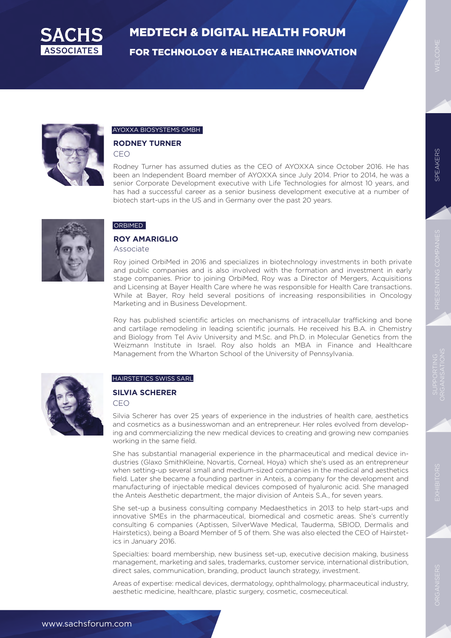

FOR TECHNOLOGY & HEALTHCARE INNOVATION



#### AYOXXA BIOSYSTEMS GMBH

#### **RODNEY TURNER**

CEO

Rodney Turner has assumed duties as the CEO of AYOXXA since October 2016. He has been an Independent Board member of AYOXXA since July 2014. Prior to 2014, he was a senior Corporate Development executive with Life Technologies for almost 10 years, and has had a successful career as a senior business development executive at a number of biotech start-ups in the US and in Germany over the past 20 years.



#### ORBIMED

#### **ROY AMARIGLIO**

Associate

Roy joined OrbiMed in 2016 and specializes in biotechnology investments in both private and public companies and is also involved with the formation and investment in early stage companies. Prior to joining OrbiMed, Roy was a Director of Mergers, Acquisitions and Licensing at Bayer Health Care where he was responsible for Health Care transactions. While at Bayer, Roy held several positions of increasing responsibilities in Oncology Marketing and in Business Development.

Roy has published scientific articles on mechanisms of intracellular trafficking and bone and cartilage remodeling in leading scientific journals. He received his B.A. in Chemistry and Biology from Tel Aviv University and M.Sc. and Ph.D. in Molecular Genetics from the Weizmann Institute in Israel. Roy also holds an MBA in Finance and Healthcare Management from the Wharton School of the University of Pennsylvania.



#### HAIRSTETICS SWISS SARL

#### **SILVIA SCHERER**

CEO

Silvia Scherer has over 25 years of experience in the industries of health care, aesthetics and cosmetics as a businesswoman and an entrepreneur. Her roles evolved from developing and commercializing the new medical devices to creating and growing new companies working in the same field.

She has substantial managerial experience in the pharmaceutical and medical device industries (Glaxo SmithKleine, Novartis, Corneal, Hoya) which she's used as an entrepreneur when setting-up several small and medium-sized companies in the medical and aesthetics field. Later she became a founding partner in Anteis, a company for the development and manufacturing of injectable medical devices composed of hyaluronic acid. She managed the Anteis Aesthetic department, the major division of Anteis S.A., for seven years.

She set-up a business consulting company Medaesthetics in 2013 to help start-ups and innovative SMEs in the pharmaceutical, biomedical and cosmetic areas. She's currently consulting 6 companies (Aptissen, SilverWave Medical, Tauderma, SBIOD, Dermalis and Hairstetics), being a Board Member of 5 of them. She was also elected the CEO of Hairstetics in January 2016.

Specialties: board membership, new business set-up, executive decision making, business management, marketing and sales, trademarks, customer service, international distribution, direct sales, communication, branding, product launch strategy, investment.

Areas of expertise: medical devices, dermatology, ophthalmology, pharmaceutical industry, aesthetic medicine, healthcare, plastic surgery, cosmetic, cosmeceutical.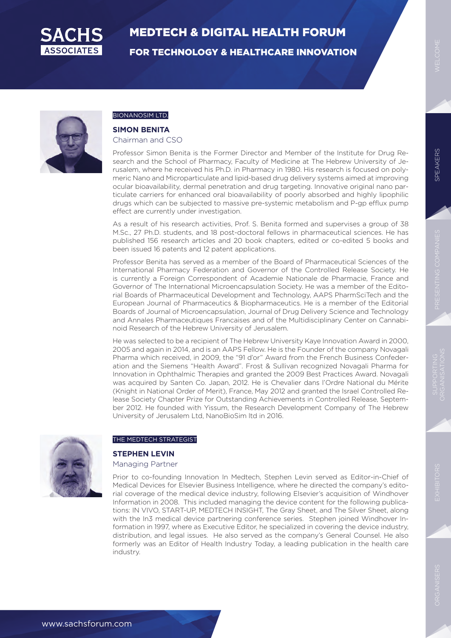

FOR TECHNOLOGY & HEALTHCARE INNOVATION



#### BIONANOSIM LTD.

#### **SIMON BENITA**

Chairman and CSO

Professor Simon Benita is the Former Director and Member of the Institute for Drug Research and the School of Pharmacy, Faculty of Medicine at The Hebrew University of Jerusalem, where he received his Ph.D. in Pharmacy in 1980. His research is focused on polymeric Nano and Microparticulate and lipid-based drug delivery systems aimed at improving ocular bioavailability, dermal penetration and drug targeting. Innovative original nano particulate carriers for enhanced oral bioavailability of poorly absorbed and highly lipophilic drugs which can be subjected to massive pre-systemic metabolism and P-gp efflux pump effect are currently under investigation.

As a result of his research activities, Prof. S. Benita formed and supervises a group of 38 M.Sc., 27 Ph.D. students, and 18 post-doctoral fellows in pharmaceutical sciences. He has published 156 research articles and 20 book chapters, edited or co-edited 5 books and been issued 16 patents and 12 patent applications.

Professor Benita has served as a member of the Board of Pharmaceutical Sciences of the International Pharmacy Federation and Governor of the Controlled Release Society. He is currently a Foreign Correspondent of Academie Nationale de Pharmacie, France and Governor of The International Microencapsulation Society. He was a member of the Editorial Boards of Pharmaceutical Development and Technology, AAPS PharmSciTech and the European Journal of Pharmaceutics & Biopharmaceutics. He is a member of the Editorial Boards of Journal of Microencapsulation, Journal of Drug Delivery Science and Technology and Annales Pharmaceutiques Francaises and of the Multidisciplinary Center on Cannabinoid Research of the Hebrew University of Jerusalem.

He was selected to be a recipient of The Hebrew University Kaye Innovation Award in 2000, 2005 and again in 2014, and is an AAPS Fellow. He is the Founder of the company Novagali Pharma which received, in 2009, the "91 d'or" Award from the French Business Confederation and the Siemens "Health Award". Frost & Sullivan recognized Novagali Pharma for Innovation in Ophthalmic Therapies and granted the 2009 Best Practices Award. Novagali was acquired by Santen Co. Japan, 2012. He is Chevalier dans l'Ordre National du Mérite (Knight in National Order of Merit), France, May 2012 and granted the Israel Controlled Release Society Chapter Prize for Outstanding Achievements in Controlled Release, September 2012. He founded with Yissum, the Research Development Company of The Hebrew University of Jerusalem Ltd, NanoBioSim ltd in 2016.



#### THE MEDTECH STRATEGIST

#### **STEPHEN LEVIN**

Managing Partner

Prior to co-founding Innovation In Medtech, Stephen Levin served as Editor-in-Chief of Medical Devices for Elsevier Business Intelligence, where he directed the company's editorial coverage of the medical device industry, following Elsevier's acquisition of Windhover Information in 2008. This included managing the device content for the following publications: IN VIVO, START-UP, MEDTECH INSIGHT, The Gray Sheet, and The Silver Sheet, along with the In3 medical device partnering conference series. Stephen joined Windhover Information in 1997, where as Executive Editor, he specialized in covering the device industry, distribution, and legal issues. He also served as the company's General Counsel. He also formerly was an Editor of Health Industry Today, a leading publication in the health care industry.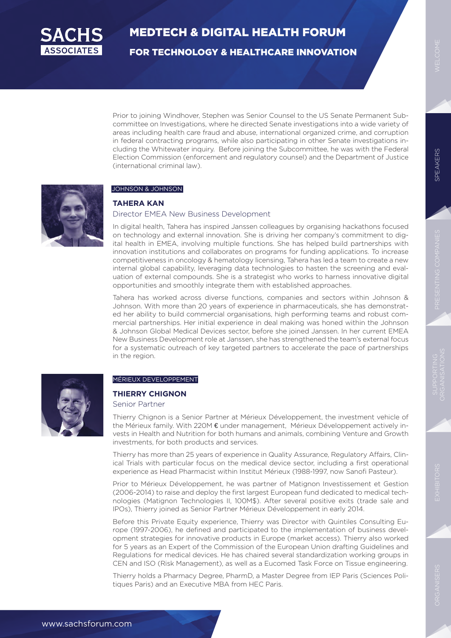

FOR TECHNOLOGY & HEALTHCARE INNOVATION

Prior to joining Windhover, Stephen was Senior Counsel to the US Senate Permanent Subcommittee on Investigations, where he directed Senate investigations into a wide variety of areas including health care fraud and abuse, international organized crime, and corruption in federal contracting programs, while also participating in other Senate investigations including the Whitewater inquiry. Before joining the Subcommittee, he was with the Federal Election Commission (enforcement and regulatory counsel) and the Department of Justice (international criminal law).



#### JOHNSON & JOHNSON

#### **TAHERA KAN**

#### Director EMEA New Business Development

In digital health, Tahera has inspired Janssen colleagues by organising hackathons focused on technology and external innovation. She is driving her company's commitment to digital health in EMEA, involving multiple functions. She has helped build partnerships with innovation institutions and collaborates on programs for funding applications. To increase competitiveness in oncology & hematology licensing, Tahera has led a team to create a new internal global capability, leveraging data technologies to hasten the screening and evaluation of external compounds. She is a strategist who works to harness innovative digital opportunities and smoothly integrate them with established approaches.

Tahera has worked across diverse functions, companies and sectors within Johnson & Johnson. With more than 20 years of experience in pharmaceuticals, she has demonstrated her ability to build commercial organisations, high performing teams and robust commercial partnerships. Her initial experience in deal making was honed within the Johnson & Johnson Global Medical Devices sector, before she joined Janssen. In her current EMEA New Business Development role at Janssen, she has strengthened the team's external focus for a systematic outreach of key targeted partners to accelerate the pace of partnerships in the region.



#### MÉRIEUX DEVELOPPEMENT

#### **THIERRY CHIGNON**

Senior Partner

Thierry Chignon is a Senior Partner at Mérieux Développement, the investment vehicle of the Mérieux family. With 220M € under management, Mérieux Développement actively invests in Health and Nutrition for both humans and animals, combining Venture and Growth investments, for both products and services.

Thierry has more than 25 years of experience in Quality Assurance, Regulatory Affairs, Clinical Trials with particular focus on the medical device sector, including a first operational experience as Head Pharmacist within Institut Mérieux (1988-1997, now Sanofi Pasteur).

Prior to Mérieux Développement, he was partner of Matignon Investissement et Gestion (2006-2014) to raise and deploy the first largest European fund dedicated to medical technologies (Matignon Technologies II, 100M\$). After several positive exits (trade sale and IPOs), Thierry joined as Senior Partner Mérieux Développement in early 2014.

Before this Private Equity experience, Thierry was Director with Quintiles Consulting Europe (1997-2006), he defined and participated to the implementation of business development strategies for innovative products in Europe (market access). Thierry also worked for 5 years as an Expert of the Commission of the European Union drafting Guidelines and Regulations for medical devices. He has chaired several standardization working groups in CEN and ISO (Risk Management), as well as a Eucomed Task Force on Tissue engineering.

Thierry holds a Pharmacy Degree, PharmD, a Master Degree from IEP Paris (Sciences Politiques Paris) and an Executive MBA from HEC Paris.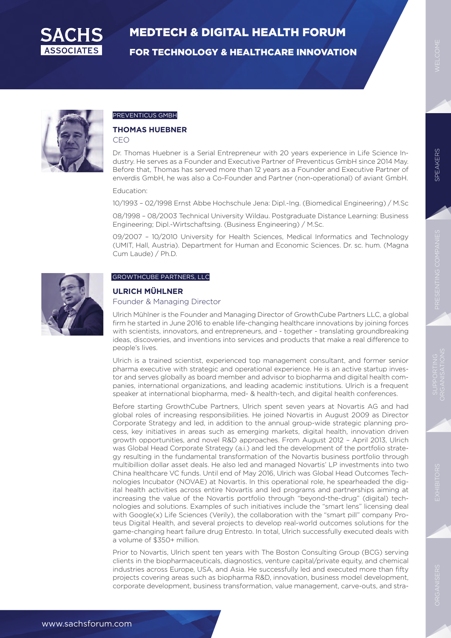

FOR TECHNOLOGY & HEALTHCARE INNOVATION



#### PREVENTICUS GMBH

#### **THOMAS HUEBNER**

CEO

Dr. Thomas Huebner is a Serial Entrepreneur with 20 years experience in Life Science Industry. He serves as a Founder and Executive Partner of Preventicus GmbH since 2014 May. Before that, Thomas has served more than 12 years as a Founder and Executive Partner of enverdis GmbH, he was also a Co-Founder and Partner (non-operational) of aviant GmbH.

#### Education:

10/1993 – 02/1998 Ernst Abbe Hochschule Jena: Dipl.-Ing. (Biomedical Engineering) / M.Sc

08/1998 – 08/2003 Technical University Wildau. Postgraduate Distance Learning: Business Engineering; Dipl.-Wirtschaftsing. (Business Engineering) / M.Sc.

09/2007 – 10/2010 University for Health Sciences, Medical Informatics and Technology (UMIT, Hall, Austria). Department for Human and Economic Sciences. Dr. sc. hum. (Magna Cum Laude) / Ph.D.



### GROWTHCUBE PARTNERS, LLC

### **ULRICH MÜHLNER**

#### Founder & Managing Director

Ulrich Mühlner is the Founder and Managing Director of GrowthCube Partners LLC, a global firm he started in June 2016 to enable life-changing healthcare innovations by joining forces with scientists, innovators, and entrepreneurs, and - together - translating groundbreaking ideas, discoveries, and inventions into services and products that make a real difference to people's lives.

Ulrich is a trained scientist, experienced top management consultant, and former senior pharma executive with strategic and operational experience. He is an active startup investor and serves globally as board member and advisor to biopharma and digital health companies, international organizations, and leading academic institutions. Ulrich is a frequent speaker at international biopharma, med- & health-tech, and digital health conferences.

Before starting GrowthCube Partners, Ulrich spent seven years at Novartis AG and had global roles of increasing responsibilities. He joined Novartis in August 2009 as Director Corporate Strategy and led, in addition to the annual group-wide strategic planning process, key initiatives in areas such as emerging markets, digital health, innovation driven growth opportunities, and novel R&D approaches. From August 2012 – April 2013, Ulrich was Global Head Corporate Strategy (a.i.) and led the development of the portfolio strategy resulting in the fundamental transformation of the Novartis business portfolio through multibillion dollar asset deals. He also led and managed Novartis' LP investments into two China healthcare VC funds. Until end of May 2016, Ulrich was Global Head Outcomes Technologies Incubator (NOVAE) at Novartis. In this operational role, he spearheaded the digital health activities across entire Novartis and led programs and partnerships aiming at increasing the value of the Novartis portfolio through "beyond-the-drug" (digital) technologies and solutions. Examples of such initiatives include the "smart lens" licensing deal with Google(x) Life Sciences (Verily), the collaboration with the "smart pill" company Proteus Digital Health, and several projects to develop real-world outcomes solutions for the game-changing heart failure drug Entresto. In total, Ulrich successfully executed deals with a volume of \$350+ million.

Prior to Novartis, Ulrich spent ten years with The Boston Consulting Group (BCG) serving clients in the biopharmaceuticals, diagnostics, venture capital/private equity, and chemical industries across Europe, USA, and Asia. He successfully led and executed more than fifty projects covering areas such as biopharma R&D, innovation, business model development, corporate development, business transformation, value management, carve-outs, and stra-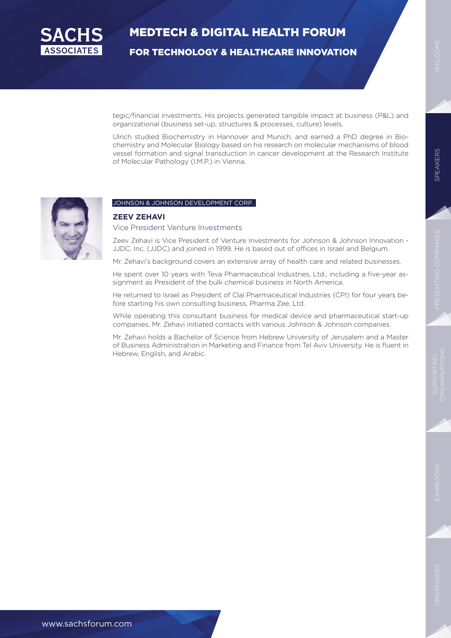

FOR TECHNOLOGY & HEALTHCARE INNOVATION

tegic/financial investments. His projects generated tangible impact at business (P&L) and organizational (business set-up, structures & processes, culture) levels.

Ulrich studied Biochemistry in Hannover and Munich, and earned a PhD degree in Biochemistry and Molecular Biology based on his research on molecular mechanisms of blood vessel formation and signal transduction in cancer development at the Research Institute of Molecular Pathology (I.M.P.) in Vienna.



#### JOHNSON & JOHNSON DEVELOPMENT CORP.

#### **ZEEV ZEHAVI**  Vice President Venture Investments

Zeev Zehavi is Vice President of Venture Investments for Johnson & Johnson Innovation - JJDC, Inc. (JJDC) and joined in 1999. He is based out of offices in Israel and Belgium.

Mr. Zehavi's background covers an extensive array of health care and related businesses.

He spent over 10 years with Teva Pharmaceutical Industries, Ltd., including a five-year assignment as President of the bulk chemical business in North America.

He returned to Israel as President of Clal Pharmaceutical Industries (CPI) for four years before starting his own consulting business, Pharma Zee, Ltd.

While operating this consultant business for medical device and pharmaceutical start-up companies, Mr. Zehavi initiated contacts with various Johnson & Johnson companies.

Mr. Zehavi holds a Bachelor of Science from Hebrew University of Jerusalem and a Master of Business Administration in Marketing and Finance from Tel Aviv University. He is fluent in Hebrew, English, and Arabic.

www.sachsforum.com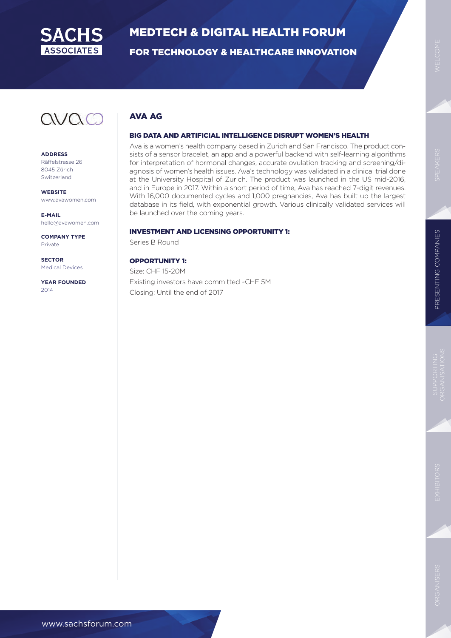

FOR TECHNOLOGY & HEALTHCARE INNOVATION

### AVA AG

#### BIG DATA AND ARTIFICIAL INTELLIGENCE DISRUPT WOMEN'S HEALTH

Ava is a women's health company based in Zurich and San Francisco. The product consists of a sensor bracelet, an app and a powerful backend with self-learning algorithms for interpretation of hormonal changes, accurate ovulation tracking and screening/diagnosis of women's health issues. Ava's technology was validated in a clinical trial done at the University Hospital of Zurich. The product was launched in the US mid-2016, and in Europe in 2017. Within a short period of time, Ava has reached 7-digit revenues. With 16,000 documented cycles and 1,000 pregnancies, Ava has built up the largest database in its field, with exponential growth. Various clinically validated services will be launched over the coming years.

#### INVESTMENT AND LICENSING OPPORTUNITY 1:

Series B Round

OPPORTUNITY 1: Size: CHF 15-20M Existing investors have committed ~CHF 5M Closing: Until the end of 2017

avac

**ADDRESS** Räffelstrasse 26 8045 Zürich Switzerland

**WEBSITE** www.avawomen.com

**E-MAIL** hello@avawomen.com

**COMPANY TYPE** Private

**SECTOR** Medical Devices

**YEAR FOUNDED** 2014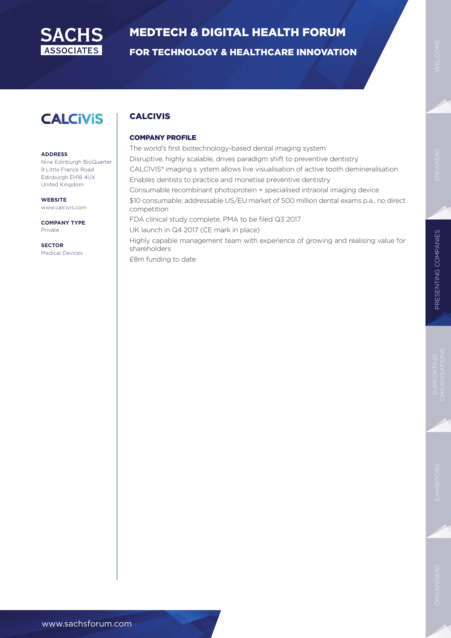

FOR TECHNOLOGY & HEALTHCARE INNOVATION

### **CALCIVIS**

#### **ADDRESS**

Nine Edinburgh BioQuarter 9 Little France Road Edinburgh EH16 4UX United Kingdom

**WEBSITE** www.calcivis.com

**COMPANY TYPE** Private

**SECTOR** Medical Devices

### CALCIVIS

#### COMPANY PROFILE

The world's first biotechnology-based dental imaging system Disruptive, highly scalable, drives paradigm shift to preventive dentistry CALCIVIS® imaging s ystem allows live visualisation of active tooth demineralisation Enables dentists to practice and monetise preventive dentistry Consumable recombinant photoprotein + specialised intraoral imaging device \$10 consumable; addressable US/EU market of 500 million dental exams p.a., no direct competition FDA clinical study complete, PMA to be filed Q3 2017 UK launch in Q4 2017 (CE mark in place) Highly capable management team with experience of growing and realising value for shareholders £8m funding to date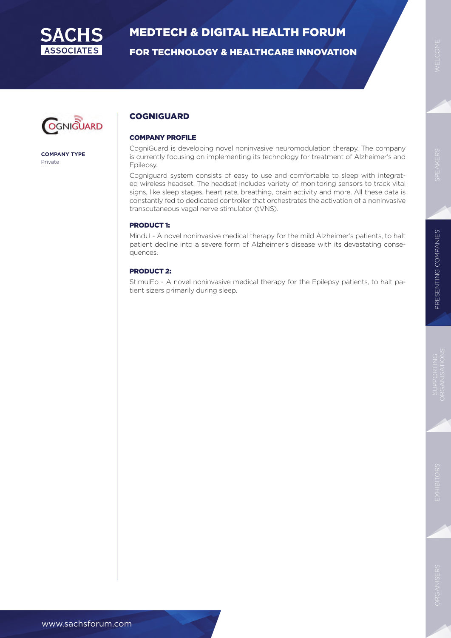

FOR TECHNOLOGY & HEALTHCARE INNOVATION



**COMPANY TYPE** Private

#### **COGNIGUARD**

#### COMPANY PROFILE

CogniGuard is developing novel noninvasive neuromodulation therapy. The company is currently focusing on implementing its technology for treatment of Alzheimer's and Epilepsy.

Cogniguard system consists of easy to use and comfortable to sleep with integrated wireless headset. The headset includes variety of monitoring sensors to track vital signs, like sleep stages, heart rate, breathing, brain activity and more. All these data is constantly fed to dedicated controller that orchestrates the activation of a noninvasive transcutaneous vagal nerve stimulator (tVNS).

#### PRODUCT 1:

MindU - A novel noninvasive medical therapy for the mild Alzheimer's patients, to halt patient decline into a severe form of Alzheimer's disease with its devastating consequences.

#### PRODUCT 2:

StimulEp - A novel noninvasive medical therapy for the Epilepsy patients, to halt patient sizers primarily during sleep.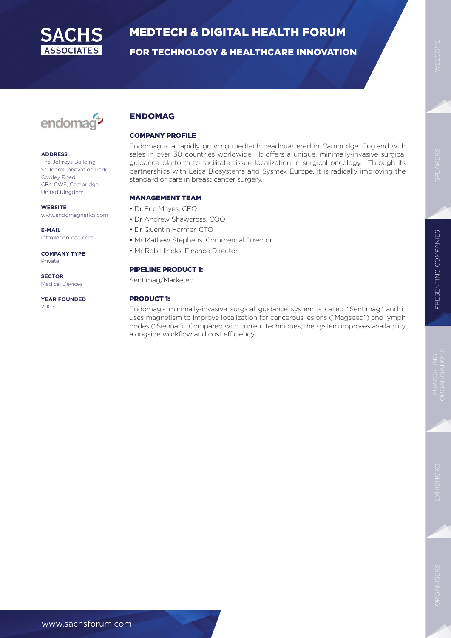

FOR TECHNOLOGY & HEALTHCARE INNOVATION

## endomag<sup>+</sup>

#### **ADDRESS**

The Jeffreys Building St John's Innovation Park Cowley Road CB4 0WS, Cambridge United Kingdom

#### **WEBSITE**

www.endomagnetics.com

**E-MAIL** info@endomag.com

**COMPANY TYPE** Private

**SECTOR** Medical Devices

**YEAR FOUNDED** 2007

#### ENDOMAG

#### COMPANY PROFILE

Endomag is a rapidly growing medtech headquartered in Cambridge, England with sales in over 30 countries worldwide. It offers a unique, minimally-invasive surgical guidance platform to facilitate tissue localization in surgical oncology. Through its partnerships with Leica Biosystems and Sysmex Europe, it is radically improving the standard of care in breast cancer surgery.

#### MANAGEMENT TEAM

- Dr Eric Mayes, CEO
- Dr Andrew Shawcross, COO
- Dr Quentin Harmer, CTO
- Mr Mathew Stephens, Commercial Director
- Mr Rob Hincks, Finance Director

#### PIPELINE PRODUCT 1:

Sentimag/Marketed

#### PRODUCT 1:

Endomag's minimally-invasive surgical guidance system is called "Sentimag" and it uses magnetism to improve localization for cancerous lesions ("Magseed") and lymph nodes ("Sienna"). Compared with current techniques, the system improves availability alongside workflow and cost efficiency.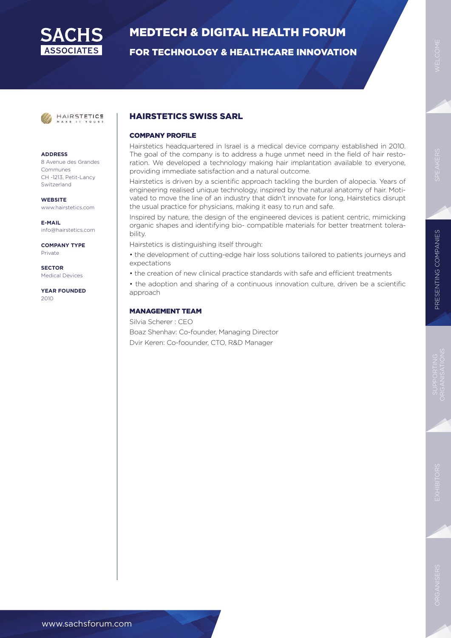

FOR TECHNOLOGY & HEALTHCARE INNOVATION



#### **ADDRESS**

8 Avenue des Grandes Communes CH -1213, Petit-Lancy Switzerland

**WEBSITE** www.hairstetics.com

**E-MAIL** info@hairstetics.com

**COMPANY TYPE** Private

**SECTOR** Medical Devices

**YEAR FOUNDED** 2010

#### HAIRSTETICS SWISS SARL

#### COMPANY PROFILE

Hairstetics headquartered in Israel is a medical device company established in 2010. The goal of the company is to address a huge unmet need in the field of hair restoration. We developed a technology making hair implantation available to everyone, providing immediate satisfaction and a natural outcome.

Hairstetics is driven by a scientific approach tackling the burden of alopecia. Years of engineering realised unique technology, inspired by the natural anatomy of hair. Motivated to move the line of an industry that didn't innovate for long, Hairstetics disrupt the usual practice for physicians, making it easy to run and safe.

Inspired by nature, the design of the engineered devices is patient centric, mimicking organic shapes and identifying bio- compatible materials for better treatment tolerability.

Hairstetics is distinguishing itself through:

• the development of cutting-edge hair loss solutions tailored to patients journeys and expectations

• the creation of new clinical practice standards with safe and efficient treatments

• the adoption and sharing of a continuous innovation culture, driven be a scientific approach

#### MANAGEMENT TEAM

Silvia Scherer : CEO Boaz Shenhav: Co-founder, Managing Director Dvir Keren: Co-foounder, CTO, R&D Manager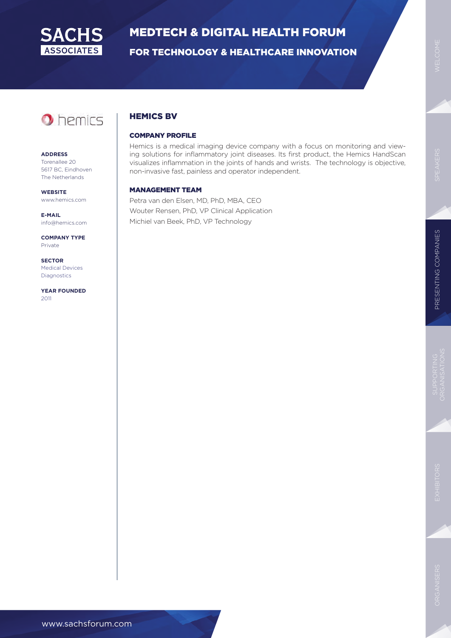

FOR TECHNOLOGY & HEALTHCARE INNOVATION

### **O** hemics

#### **ADDRESS**

Torenallee 20 5617 BC, Eindhoven The Netherlands

**WEBSITE** www.hemics.com

**E-MAIL** info@hemics.com

**COMPANY TYPE** Private

**SECTOR** Medical Devices Diagnostics

**YEAR FOUNDED** 2011

#### HEMICS BV

#### COMPANY PROFILE

Hemics is a medical imaging device company with a focus on monitoring and viewing solutions for inflammatory joint diseases. Its first product, the Hemics HandScan visualizes inflammation in the joints of hands and wrists. The technology is objective, non-invasive fast, painless and operator independent.

#### MANAGEMENT TEAM

Petra van den Elsen, MD, PhD, MBA, CEO Wouter Rensen, PhD, VP Clinical Application Michiel van Beek, PhD, VP Technology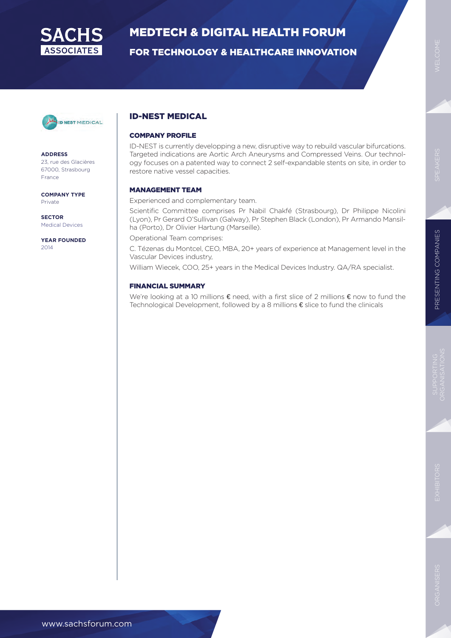

FOR TECHNOLOGY & HEALTHCARE INNOVATION



**ADDRESS**

23, rue des Glacières 67000, Strasbourg France

**COMPANY TYPE** Private

**SECTOR** Medical Devices

**YEAR FOUNDED** 2014

#### ID-NEST MEDICAL

#### COMPANY PROFILE

ID-NEST is currently developping a new, disruptive way to rebuild vascular bifurcations. Targeted indications are Aortic Arch Aneurysms and Compressed Veins. Our technology focuses on a patented way to connect 2 self-expandable stents on site, in order to restore native vessel capacities.

#### MANAGEMENT TEAM

Experienced and complementary team.

Scientific Committee comprises Pr Nabil Chakfé (Strasbourg), Dr Philippe Nicolini (Lyon), Pr Gerard O'Sullivan (Galway), Pr Stephen Black (London), Pr Armando Mansilha (Porto), Dr Olivier Hartung (Marseille).

Operational Team comprises:

C. Tézenas du Montcel, CEO, MBA, 20+ years of experience at Management level in the Vascular Devices industry,

William Wiecek, COO, 25+ years in the Medical Devices Industry. QA/RA specialist.

#### FINANCIAL SUMMARY

We're looking at a 10 millions € need, with a first slice of 2 millions € now to fund the Technological Development, followed by a 8 millions € slice to fund the clinicals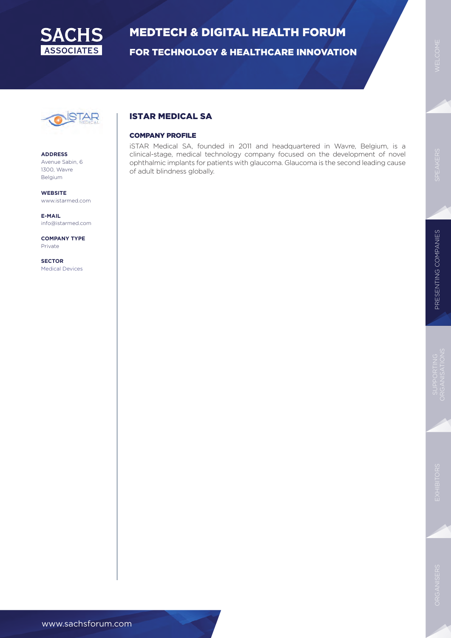

FOR TECHNOLOGY & HEALTHCARE INNOVATION



**ADDRESS**

Avenue Sabin, 6 1300, Wavre Belgium

**WEBSITE** www.istarmed.com

**E-MAIL** info@istarmed.com

**COMPANY TYPE** Private

**SECTOR** Medical Devices

#### ISTAR MEDICAL SA

#### COMPANY PROFILE

iSTAR Medical SA, founded in 2011 and headquartered in Wavre, Belgium, is a clinical-stage, medical technology company focused on the development of novel ophthalmic implants for patients with glaucoma. Glaucoma is the second leading cause of adult blindness globally.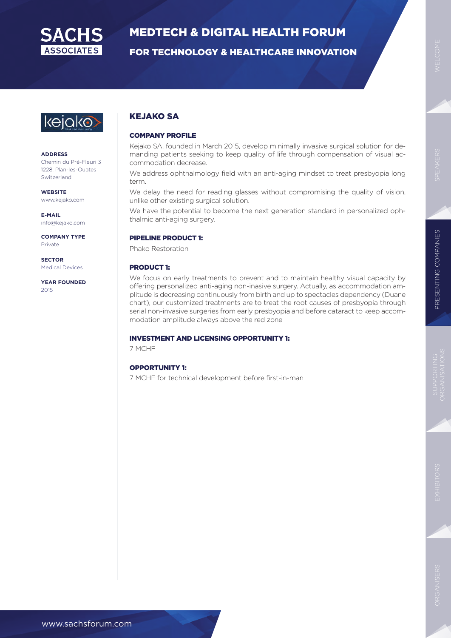

FOR TECHNOLOGY & HEALTHCARE INNOVATION



#### **ADDRESS**

Chemin du Pré-Fleuri 3 1228, Plan-les-Ouates Switzerland

**WEBSITE** www.kejako.com

**E-MAIL** info@kejako.com

**COMPANY TYPE** Private

**SECTOR** Medical Devices

**YEAR FOUNDED** 2015

#### KEJAKO SA

#### COMPANY PROFILE

Kejako SA, founded in March 2015, develop minimally invasive surgical solution for demanding patients seeking to keep quality of life through compensation of visual accommodation decrease.

We address ophthalmology field with an anti-aging mindset to treat presbyopia long term.

We delay the need for reading glasses without compromising the quality of vision, unlike other existing surgical solution.

We have the potential to become the next generation standard in personalized ophthalmic anti-aging surgery.

#### PIPELINE PRODUCT 1:

Phako Restoration

#### PRODUCT 1:

We focus on early treatments to prevent and to maintain healthy visual capacity by offering personalized anti-aging non-inasive surgery. Actually, as accommodation amplitude is decreasing continuously from birth and up to spectacles dependency (Duane chart), our customized treatments are to treat the root causes of presbyopia through serial non-invasive surgeries from early presbyopia and before cataract to keep accommodation amplitude always above the red zone

#### INVESTMENT AND LICENSING OPPORTUNITY 1:

7 MCHF

#### OPPORTUNITY 1:

7 MCHF for technical development before first-in-man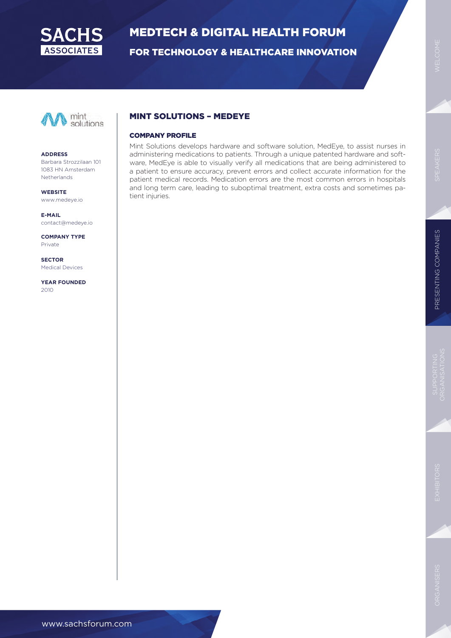

FOR TECHNOLOGY & HEALTHCARE INNOVATION



#### **ADDRESS**

Barbara Strozzilaan 101 1083 HN Amsterdam **Netherlands** 

**WEBSITE** www.medeye.io

**E-MAIL** contact@medeye.io

**COMPANY TYPE** Private

**SECTOR** Medical Devices

**YEAR FOUNDED** 2010

#### MINT SOLUTIONS – MEDEYE

#### COMPANY PROFILE

Mint Solutions develops hardware and software solution, MedEye, to assist nurses in administering medications to patients. Through a unique patented hardware and software, MedEye is able to visually verify all medications that are being administered to a patient to ensure accuracy, prevent errors and collect accurate information for the patient medical records. Medication errors are the most common errors in hospitals and long term care, leading to suboptimal treatment, extra costs and sometimes patient injuries.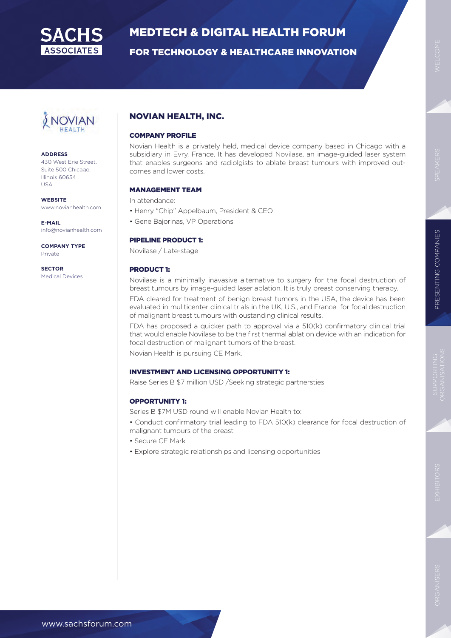

FOR TECHNOLOGY & HEALTHCARE INNOVATION

OVIAN

#### **ADDRESS**

430 West Erie Street, Suite 500 Chicago, Illinois 60654 USA

**WEBSITE** www.novianhealth.com

**E-MAIL** info@novianhealth.com

**COMPANY TYPE** Private

**SECTOR** Medical Devices

#### NOVIAN HEALTH, INC.

#### COMPANY PROFILE

Novian Health is a privately held, medical device company based in Chicago with a subsidiary in Evry, France. It has developed Novilase, an image-guided laser system that enables surgeons and radiolgists to ablate breast tumours with improved outcomes and lower costs.

#### MANAGEMENT TEAM

In attendance:

- Henry "Chip" Appelbaum, President & CEO
- Gene Bajorinas, VP Operations

#### PIPELINE PRODUCT 1:

Novilase / Late-stage

#### PRODUCT 1:

Novilase is a minimally inavasive alternative to surgery for the focal destruction of breast tumours by image-guided laser ablation. It is truly breast conserving therapy.

FDA cleared for treatment of benign breast tumors in the USA, the device has been evaluated in muliticenter clinical trials in the UK, U.S., and France for focal destruction of malignant breast tumours with oustanding clinical results.

FDA has proposed a quicker path to approval via a 510(k) confirmatory clinical trial that would enable Novilase to be the first thermal ablation device with an indication for focal destruction of malignant tumors of the breast.

Novian Health is pursuing CE Mark.

#### INVESTMENT AND LICENSING OPPORTUNITY 1:

Raise Series B \$7 million USD /Seeking strategic partnersties

#### OPPORTUNITY 1:

Series B \$7M USD round will enable Novian Health to:

• Conduct confirmatory trial leading to FDA 510(k) clearance for focal destruction of malignant tumours of the breast

- Secure CE Mark
- Explore strategic relationships and licensing opportunities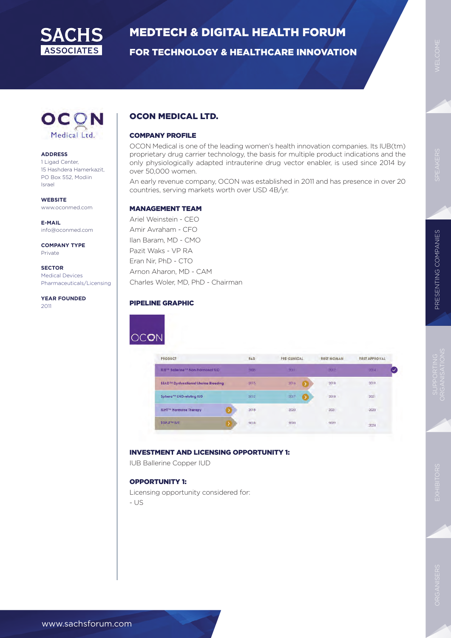

FOR TECHNOLOGY & HEALTHCARE INNOVATION



#### **ADDRESS**

1 Ligad Center, 15 Hashdera Hamerkazit, PO Box 552, Modiin Israel

**WEBSITE** www.oconmed.com

**E-MAIL** info@oconmed.com

**COMPANY TYPE** Private

**SECTOR** Medical Devices Pharmaceuticals/Licensing

**YEAR FOUNDED** 2011

#### OCON MEDICAL LTD.

#### COMPANY PROFILE

OCON Medical is one of the leading women's health innovation companies. Its IUB(tm) proprietary drug carrier technology, the basis for multiple product indications and the only physiologically adapted intrauterine drug vector enabler, is used since 2014 by over 50,000 women.

An early revenue company, OCON was established in 2011 and has presence in over 20 countries, serving markets worth over USD 4B/yr.

#### MANAGEMENT TEAM

Ariel Weinstein - CEO Amir Avraham - CFO Ilan Baram, MD - CMO Pazit Waks - VP RA Eran Nir, PhD - CTO Arnon Aharon, MD - CAM Charles Woler, MD, PhD - Chairman

#### PIPELINE GRAPHIC



| <b>PRODUCT</b>                                            | <b>R&amp;D</b> | <b>PRE-CLINICAL</b> | <b>FIRST WOMAN</b> | <b>FIRST APPROVAL</b>                                                                                                                        |  |
|-----------------------------------------------------------|----------------|---------------------|--------------------|----------------------------------------------------------------------------------------------------------------------------------------------|--|
| IUB <sup>7</sup> Ballerine <sup>7M</sup> Non-harmonal IUD | 2008           | 2011                | 2012               | 2014                                                                                                                                         |  |
| SEAD™ Dysfunctional Uterine Bleeding                      | 2015           | 2016                | 2018               | 2019                                                                                                                                         |  |
| Sphera <sup>m</sup> LNG-eluting IUD                       | 2012           | 2017                | 2018               | 2021                                                                                                                                         |  |
| <b>IUHT<sup>IM</sup></b> Hormone Therapy                  | 2018           | 2020                | 2021               | $\mathcal{L}^{\mathcal{A}}\left( \mathcal{A}^{\mathcal{A}}\right) =\mathcal{L}^{\mathcal{A}}\left( \mathcal{A}^{\mathcal{A}}\right)$<br>2023 |  |
| TOP-FTM IVE                                               | 2018           | 2020                | 2022               | $-11.1$<br>2024                                                                                                                              |  |

#### INVESTMENT AND LICENSING OPPORTUNITY 1:

IUB Ballerine Copper IUD

#### OPPORTUNITY 1:

Licensing opportunity considered for:

- US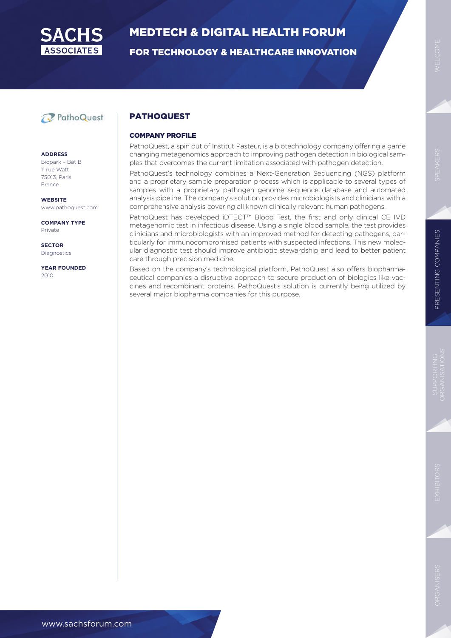

FOR TECHNOLOGY & HEALTHCARE INNOVATION

### PathoQuest

#### **ADDRESS**

Biopark – Bât B 11 rue Watt 75013, Paris France

**WEBSITE** www.pathoquest.com

**COMPANY TYPE** Private

**SECTOR** Diagnostics

**YEAR FOUNDED** 2010

#### PATHOQUEST

#### COMPANY PROFILE

PathoQuest, a spin out of Institut Pasteur, is a biotechnology company offering a game changing metagenomics approach to improving pathogen detection in biological samples that overcomes the current limitation associated with pathogen detection.

PathoQuest's technology combines a Next-Generation Sequencing (NGS) platform and a proprietary sample preparation process which is applicable to several types of samples with a proprietary pathogen genome sequence database and automated analysis pipeline. The company's solution provides microbiologists and clinicians with a comprehensive analysis covering all known clinically relevant human pathogens.

PathoQuest has developed iDTECT™ Blood Test, the first and only clinical CE IVD metagenomic test in infectious disease. Using a single blood sample, the test provides clinicians and microbiologists with an improved method for detecting pathogens, particularly for immunocompromised patients with suspected infections. This new molecular diagnostic test should improve antibiotic stewardship and lead to better patient care through precision medicine.

Based on the company's technological platform, PathoQuest also offers biopharmaceutical companies a disruptive approach to secure production of biologics like vaccines and recombinant proteins. PathoQuest's solution is currently being utilized by several major biopharma companies for this purpose.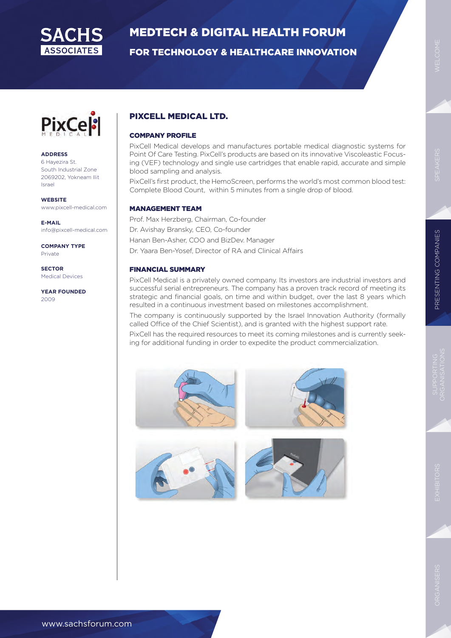

FOR TECHNOLOGY & HEALTHCARE INNOVATION

**PixCel:** 

#### **ADDRESS**

6 Hayezira St. South Industrial Zone 2069202, Yokneam Ilit Israel

**WEBSITE** www.pixcell-medical.com

**E-MAIL** info@pixcell-medical.com

**COMPANY TYPE** Private

**SECTOR** Medical Devices

**YEAR FOUNDED** 2009

#### PIXCELL MEDICAL LTD.

#### COMPANY PROFILE

PixCell Medical develops and manufactures portable medical diagnostic systems for Point Of Care Testing. PixCell's products are based on its innovative Viscoleastic Focusing (VEF) technology and single use cartridges that enable rapid, accurate and simple blood sampling and analysis.

PixCell's first product, the HemoScreen, performs the world's most common blood test: Complete Blood Count, within 5 minutes from a single drop of blood.

#### MANAGEMENT TEAM

Prof. Max Herzberg, Chairman, Co-founder Dr. Avishay Bransky, CEO, Co-founder Hanan Ben-Asher, COO and BizDev. Manager Dr. Yaara Ben-Yosef, Director of RA and Clinical Affairs

#### FINANCIAL SUMMARY

PixCell Medical is a privately owned company. Its investors are industrial investors and successful serial entrepreneurs. The company has a proven track record of meeting its strategic and financial goals, on time and within budget, over the last 8 years which resulted in a continuous investment based on milestones accomplishment.

The company is continuously supported by the Israel Innovation Authority (formally called Office of the Chief Scientist), and is granted with the highest support rate.

PixCell has the required resources to meet its coming milestones and is currently seeking for additional funding in order to expedite the product commercialization.

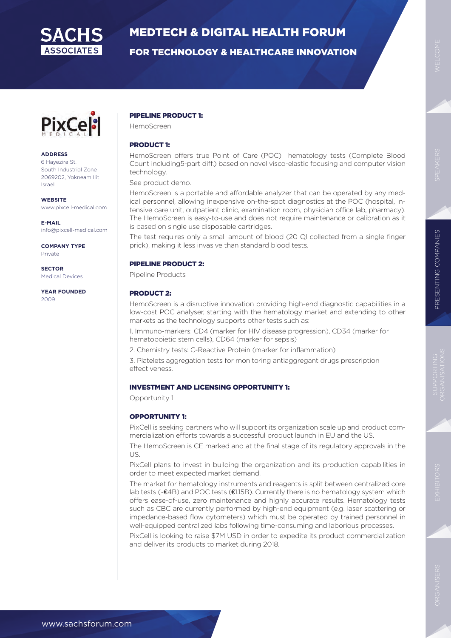

FOR TECHNOLOGY & HEALTHCARE INNOVATION



#### **ADDRESS**

6 Hayezira St. South Industrial Zone 2069202, Yokneam Ilit Israel

**WEBSITE** www.pixcell-medical.com

**E-MAIL** info@pixcell-medical.com

**COMPANY TYPE** Private

**SECTOR** Medical Devices

**YEAR FOUNDED** 2009

#### PIPELINE PRODUCT 1:

HemoScreen

#### PRODUCT 1:

HemoScreen offers true Point of Care (POC) hematology tests (Complete Blood Count including5-part diff.) based on novel visco-elastic focusing and computer vision technology.

See product demo.

HemoScreen is a portable and affordable analyzer that can be operated by any medical personnel, allowing inexpensive on-the-spot diagnostics at the POC (hospital, intensive care unit, outpatient clinic, examination room, physician office lab, pharmacy). The HemoScreen is easy-to-use and does not require maintenance or calibration as it is based on single use disposable cartridges.

The test requires only a small amount of blood (20 QI collected from a single finger prick), making it less invasive than standard blood tests.

#### PIPELINE PRODUCT 2:

Pipeline Products

#### PRODUCT 2:

HemoScreen is a disruptive innovation providing high-end diagnostic capabilities in a low-cost POC analyser, starting with the hematology market and extending to other markets as the technology supports other tests such as:

1. Immuno-markers: CD4 (marker for HIV disease progression), CD34 (marker for hematopoietic stem cells), CD64 (marker for sepsis)

2. Chemistry tests: C-Reactive Protein (marker for inflammation)

3. Platelets aggregation tests for monitoring antiaggregant drugs prescription effectiveness.

#### INVESTMENT AND LICENSING OPPORTUNITY 1:

Opportunity 1

#### OPPORTUNITY 1:

PixCell is seeking partners who will support its organization scale up and product commercialization efforts towards a successful product launch in EU and the US.

The HemoScreen is CE marked and at the final stage of its regulatory approvals in the US.

PixCell plans to invest in building the organization and its production capabilities in order to meet expected market demand.

The market for hematology instruments and reagents is split between centralized core lab tests (~€4B) and POC tests (€1.15B). Currently there is no hematology system which offers ease-of-use, zero maintenance and highly accurate results. Hematology tests such as CBC are currently performed by high-end equipment (e.g. laser scattering or impedance-based flow cytometers) which must be operated by trained personnel in well-equipped centralized labs following time-consuming and laborious processes.

PixCell is looking to raise \$7M USD in order to expedite its product commercialization and deliver its products to market during 2018.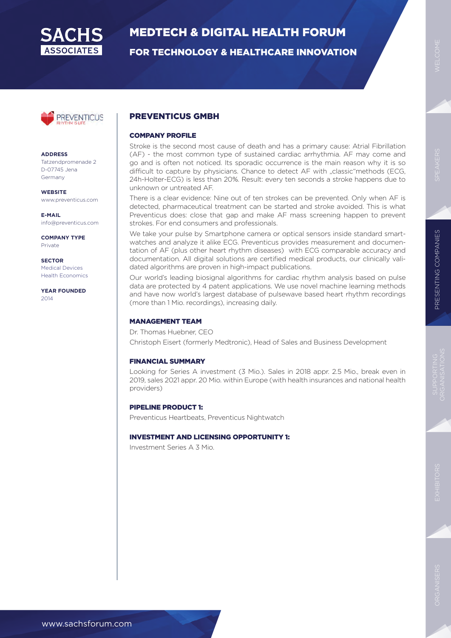

FOR TECHNOLOGY & HEALTHCARE INNOVATION



**ADDRESS** Tatzendpromenade 2 D-07745 Jena Germany

**WEBSITE** www.preventicus.com

**E-MAIL** info@preventicus.com

**COMPANY TYPE** Private

**SECTOR** Medical Devices Health Economics

**YEAR FOUNDED** 2014

#### PREVENTICUS GMBH

#### COMPANY PROFILE

Stroke is the second most cause of death and has a primary cause: Atrial Fibrillation (AF) - the most common type of sustained cardiac arrhythmia. AF may come and go and is often not noticed. Its sporadic occurrence is the main reason why it is so difficult to capture by physicians. Chance to detect AF with "classic"methods (ECG, 24h-Holter-ECG) is less than 20%. Result: every ten seconds a stroke happens due to unknown or untreated AF.

There is a clear evidence: Nine out of ten strokes can be prevented. Only when AF is detected, pharmaceutical treatment can be started and stroke avoided. This is what Preventicus does: close that gap and make AF mass screening happen to prevent strokes. For end consumers and professionals.

We take your pulse by Smartphone camera or optical sensors inside standard smartwatches and analyze it alike ECG. Preventicus provides measurement and documentation of AF (plus other heart rhythm diseases) with ECG comparable accuracy and documentation. All digital solutions are certified medical products, our clinically validated algorithms are proven in high-impact publications.

Our world's leading biosignal algorithms for cardiac rhythm analysis based on pulse data are protected by 4 patent applications. We use novel machine learning methods and have now world's largest database of pulsewave based heart rhythm recordings (more than 1 Mio. recordings), increasing daily.

#### MANAGEMENT TEAM

Dr. Thomas Huebner, CEO Christoph Eisert (formerly Medtronic), Head of Sales and Business Development

#### FINANCIAL SUMMARY

Looking for Series A investment (3 Mio.). Sales in 2018 appr. 2.5 Mio., break even in 2019, sales 2021 appr. 20 Mio. within Europe (with health insurances and national health providers)

#### PIPELINE PRODUCT 1:

Preventicus Heartbeats, Preventicus Nightwatch

#### INVESTMENT AND LICENSING OPPORTUNITY 1:

Investment Series A 3 Mio.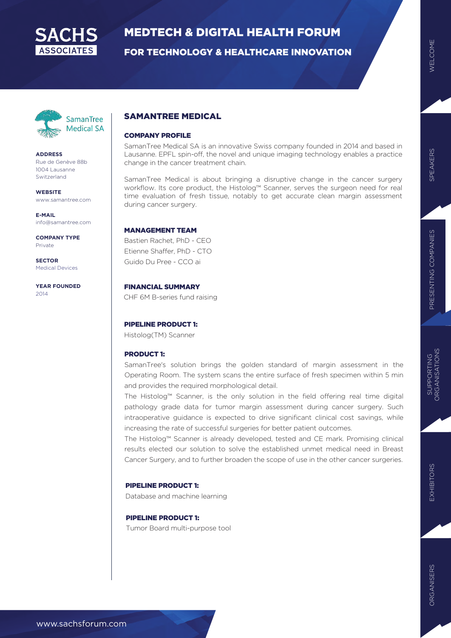

FOR TECHNOLOGY & HEALTHCARE INNOVATION



**ADDRESS** Rue de Genève 88b 1004 Lausanne Switzerland

**WEBSITE** www.samantree.com

**E-MAIL** info@samantree.com

**COMPANY TYPE** Private

**SECTOR** Medical Devices

**YEAR FOUNDED** 2014

#### SAMANTREE MEDICAL

#### COMPANY PROFILE

SamanTree Medical SA is an innovative Swiss company founded in 2014 and based in Lausanne. EPFL spin-off, the novel and unique imaging technology enables a practice change in the cancer treatment chain.

SamanTree Medical is about bringing a disruptive change in the cancer surgery workflow. Its core product, the Histolog™ Scanner, serves the surgeon need for real time evaluation of fresh tissue, notably to get accurate clean margin assessment during cancer surgery.

#### MANAGEMENT TEAM

Bastien Rachet, PhD - CEO Etienne Shaffer, PhD - CTO Guido Du Pree - CCO ai

#### FINANCIAL SUMMARY

CHF 6M B-series fund raising

#### PIPELINE PRODUCT 1:

Histolog(TM) Scanner

#### PRODUCT 1:

SamanTree's solution brings the golden standard of margin assessment in the Operating Room. The system scans the entire surface of fresh specimen within 5 min and provides the required morphological detail.

The Histolog™ Scanner, is the only solution in the field offering real time digital pathology grade data for tumor margin assessment during cancer surgery. Such intraoperative guidance is expected to drive significant clinical cost savings, while increasing the rate of successful surgeries for better patient outcomes.

The Histolog™ Scanner is already developed, tested and CE mark. Promising clinical results elected our solution to solve the established unmet medical need in Breast Cancer Surgery, and to further broaden the scope of use in the other cancer surgeries.

#### PIPELINE PRODUCT 1:

Database and machine learning

#### PIPELINE PRODUCT 1:

Tumor Board multi-purpose tool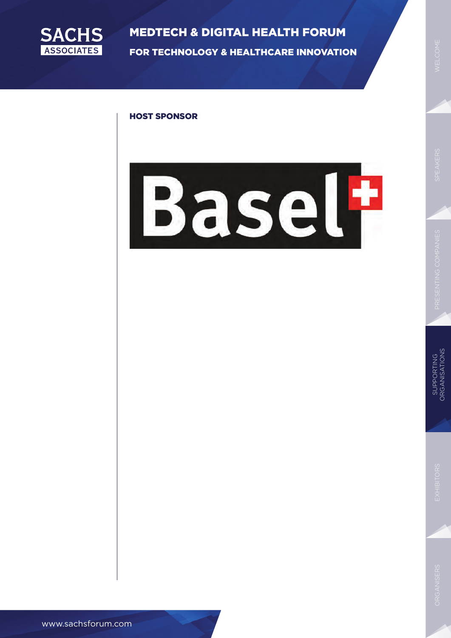

MEDTECH & DIGITAL HEALTH FORUM FOR TECHNOLOGY & HEALTHCARE INNOVATION

#### HOST SPONSOR



www.sachsforum.com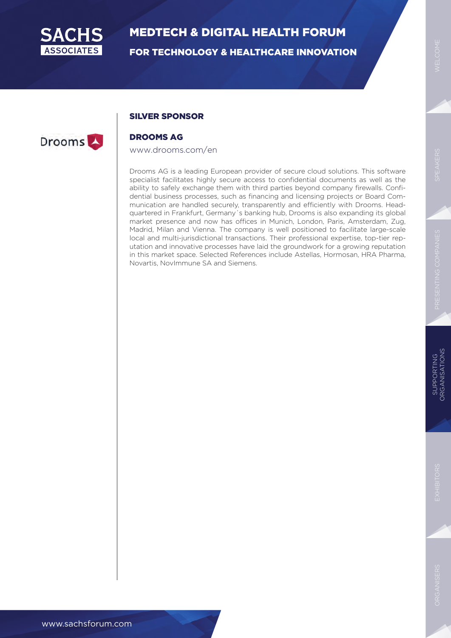

FOR TECHNOLOGY & HEALTHCARE INNOVATION

#### SILVER SPONSOR

### Drooms<sup>1</sup>

#### DROOMS AG

#### www.drooms.com/en

Drooms AG is a leading European provider of secure cloud solutions. This software specialist facilitates highly secure access to confidential documents as well as the ability to safely exchange them with third parties beyond company firewalls. Confidential business processes, such as financing and licensing projects or Board Communication are handled securely, transparently and efficiently with Drooms. Headquartered in Frankfurt, Germany´s banking hub, Drooms is also expanding its global market presence and now has offices in Munich, London, Paris, Amsterdam, Zug, Madrid, Milan and Vienna. The company is well positioned to facilitate large-scale local and multi-jurisdictional transactions. Their professional expertise, top-tier reputation and innovative processes have laid the groundwork for a growing reputation in this market space. Selected References include Astellas, Hormosan, HRA Pharma, Novartis, NovImmune SA and Siemens.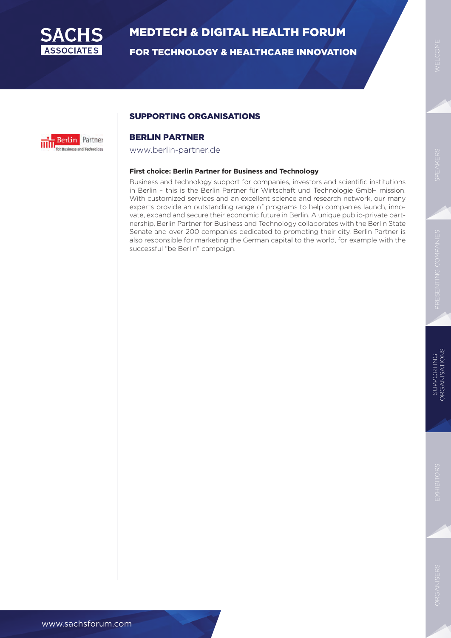

FOR TECHNOLOGY & HEALTHCARE INNOVATION



#### SUPPORTING ORGANISATIONS

#### BERLIN PARTNER

www.berlin-partner.de

#### **First choice: Berlin Partner for Business and Technology**

Business and technology support for companies, investors and scientific institutions in Berlin – this is the Berlin Partner für Wirtschaft und Technologie GmbH mission. With customized services and an excellent science and research network, our many experts provide an outstanding range of programs to help companies launch, innovate, expand and secure their economic future in Berlin. A unique public-private partnership, Berlin Partner for Business and Technology collaborates with the Berlin State Senate and over 200 companies dedicated to promoting their city. Berlin Partner is also responsible for marketing the German capital to the world, for example with the successful "be Berlin" campaign.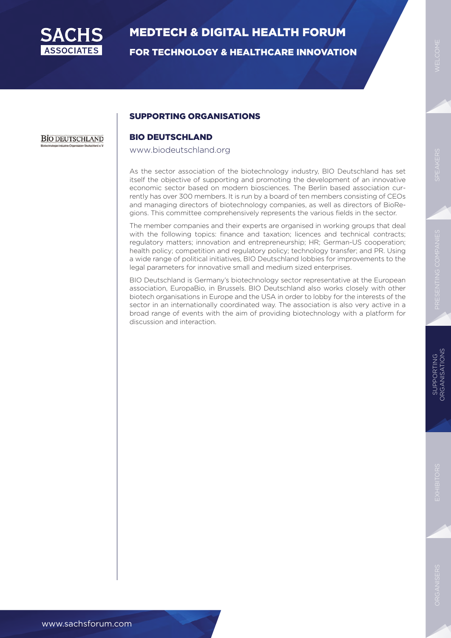

FOR TECHNOLOGY & HEALTHCARE INNOVATION

#### SUPPORTING ORGANISATIONS

**BIO DEUTSCHLAND** 

#### BIO DEUTSCHLAND

www.biodeutschland.org

As the sector association of the biotechnology industry, BIO Deutschland has set itself the objective of supporting and promoting the development of an innovative economic sector based on modern biosciences. The Berlin based association currently has over 300 members. It is run by a board of ten members consisting of CEOs and managing directors of biotechnology companies, as well as directors of BioRegions. This committee comprehensively represents the various fields in the sector.

The member companies and their experts are organised in working groups that deal with the following topics: finance and taxation; licences and technical contracts; regulatory matters; innovation and entrepreneurship; HR; German-US cooperation; health policy; competition and regulatory policy; technology transfer; and PR. Using a wide range of political initiatives, BIO Deutschland lobbies for improvements to the legal parameters for innovative small and medium sized enterprises.

BIO Deutschland is Germany's biotechnology sector representative at the European association, EuropaBio, in Brussels. BIO Deutschland also works closely with other biotech organisations in Europe and the USA in order to lobby for the interests of the sector in an internationally coordinated way. The association is also very active in a broad range of events with the aim of providing biotechnology with a platform for discussion and interaction.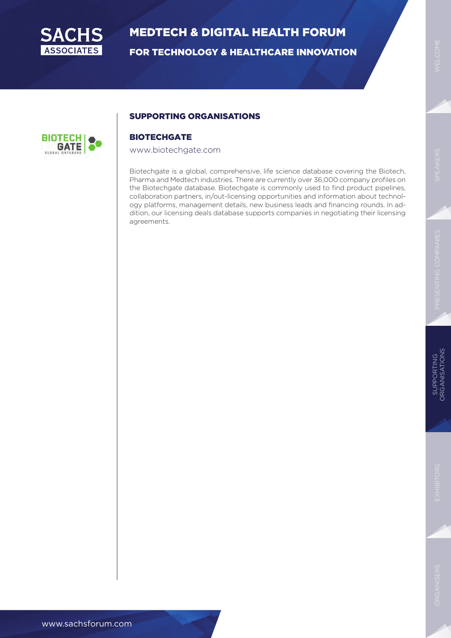

FOR TECHNOLOGY & HEALTHCARE INNOVATION



#### SUPPORTING ORGANISATIONS

#### **BIOTECHGATE**

#### www.biotechgate.com

Biotechgate is a global, comprehensive, life science database covering the Biotech, Pharma and Medtech industries. There are currently over 36,000 company profiles on the Biotechgate database. Biotechgate is commonly used to find product pipelines, collaboration partners, in/out-licensing opportunities and information about technology platforms, management details, new business leads and financing rounds. In addition, our licensing deals database supports companies in negotiating their licensing agreements.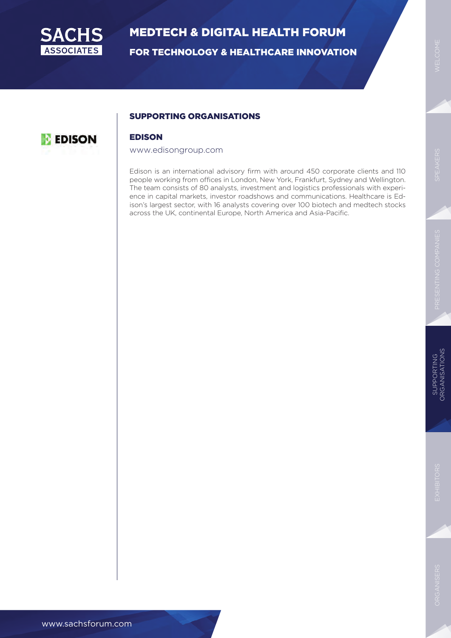

FOR TECHNOLOGY & HEALTHCARE INNOVATION

#### SUPPORTING ORGANISATIONS



#### EDISON

#### www.edisongroup.com

Edison is an international advisory firm with around 450 corporate clients and 110 people working from offices in London, New York, Frankfurt, Sydney and Wellington. The team consists of 80 analysts, investment and logistics professionals with experience in capital markets, investor roadshows and communications. Healthcare is Edison's largest sector, with 16 analysts covering over 100 biotech and medtech stocks across the UK, continental Europe, North America and Asia-Pacific.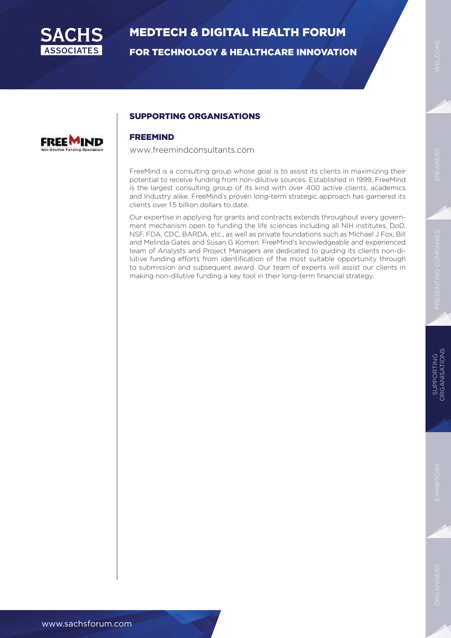

FOR TECHNOLOGY & HEALTHCARE INNOVATION



#### SUPPORTING ORGANISATIONS

#### FREEMIND

#### www.freemindconsultants.com

FreeMind is a consulting group whose goal is to assist its clients in maximizing their potential to receive funding from non-dilutive sources. Established in 1999, FreeMind is the largest consulting group of its kind with over 400 active clients, academics and Industry alike. FreeMind's proven long-term strategic approach has garnered its clients over 1.5 billion dollars to date.

Our expertise in applying for grants and contracts extends throughout every government mechanism open to funding the life sciences including all NIH institutes, DoD, NSF, FDA, CDC, BARDA, etc., as well as private foundations such as Michael J Fox, Bill and Melinda Gates and Susan G Komen. FreeMind's knowledgeable and experienced team of Analysts and Project Managers are dedicated to guiding its clients non-dilutive funding efforts from identification of the most suitable opportunity through to submission and subsequent award. Our team of experts will assist our clients in making non-dilutive funding a key tool in their long-term financial strategy.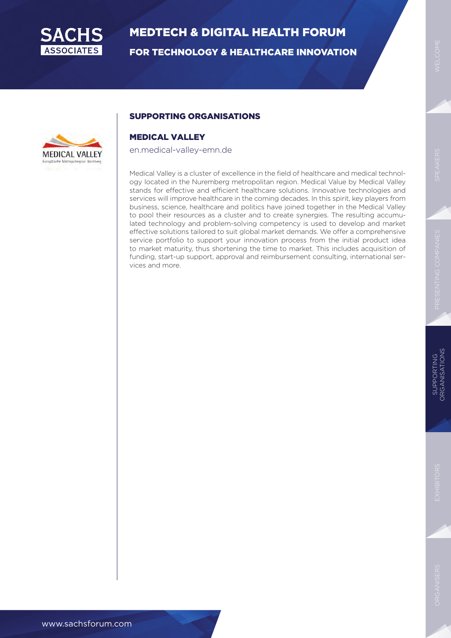

FOR TECHNOLOGY & HEALTHCARE INNOVATION



#### SUPPORTING ORGANISATIONS

#### MEDICAL VALLEY

en.medical-valley-emn.de

Medical Valley is a cluster of excellence in the field of healthcare and medical technology located in the Nuremberg metropolitan region. Medical Value by Medical Valley stands for effective and efficient healthcare solutions. Innovative technologies and services will improve healthcare in the coming decades. In this spirit, key players from business, science, healthcare and politics have joined together in the Medical Valley to pool their resources as a cluster and to create synergies. The resulting accumulated technology and problem-solving competency is used to develop and market effective solutions tailored to suit global market demands. We offer a comprehensive service portfolio to support your innovation process from the initial product idea to market maturity, thus shortening the time to market. This includes acquisition of funding, start-up support, approval and reimbursement consulting, international services and more.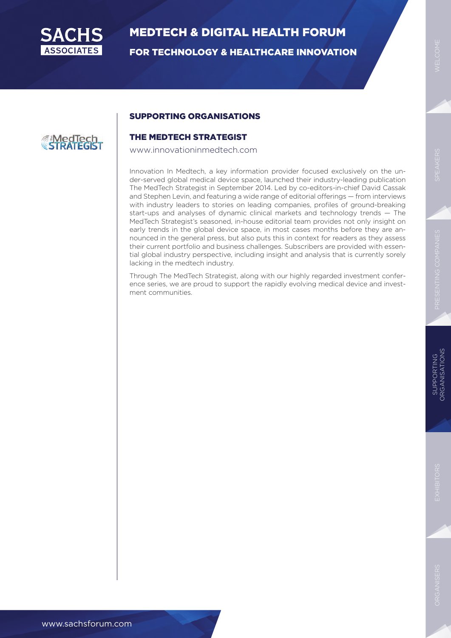

FOR TECHNOLOGY & HEALTHCARE INNOVATION

#### SUPPORTING ORGANISATIONS

## **EMedTech**

#### THE MEDTECH STRATEGIST

www.innovationinmedtech.com

Innovation In Medtech, a key information provider focused exclusively on the under-served global medical device space, launched their industry-leading publication The MedTech Strategist in September 2014. Led by co-editors-in-chief David Cassak and Stephen Levin, and featuring a wide range of editorial offerings — from interviews with industry leaders to stories on leading companies, profiles of ground-breaking start-ups and analyses of dynamic clinical markets and technology trends — The MedTech Strategist's seasoned, in-house editorial team provides not only insight on early trends in the global device space, in most cases months before they are announced in the general press, but also puts this in context for readers as they assess their current portfolio and business challenges. Subscribers are provided with essential global industry perspective, including insight and analysis that is currently sorely lacking in the medtech industry.

Through The MedTech Strategist, along with our highly regarded investment conference series, we are proud to support the rapidly evolving medical device and investment communities.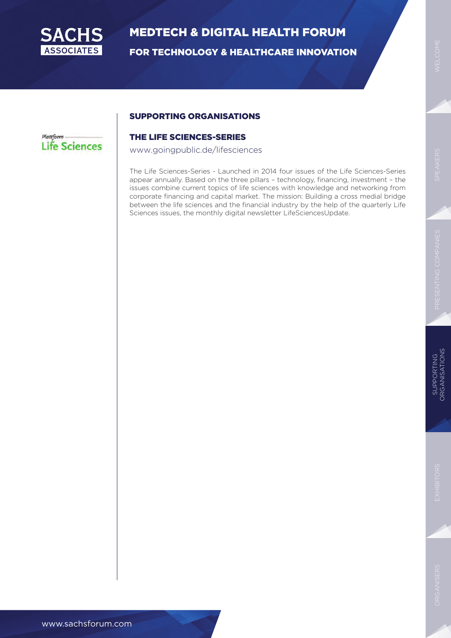

FOR TECHNOLOGY & HEALTHCARE INNOVATION

#### SUPPORTING ORGANISATIONS

#### Plattform **Life Sciences**

#### THE LIFE SCIENCES-SERIES

www.goingpublic.de/lifesciences

The Life Sciences-Series - Launched in 2014 four issues of the Life Sciences-Series appear annually. Based on the three pillars – technology, financing, investment – the issues combine current topics of life sciences with knowledge and networking from corporate financing and capital market. The mission: Building a cross medial bridge between the life sciences and the financial industry by the help of the quarterly Life Sciences issues, the monthly digital newsletter LifeSciencesUpdate.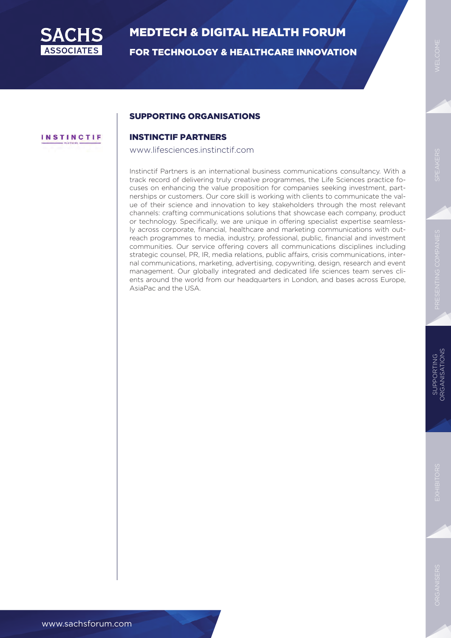

**INSTINCTIF** 

## MEDTECH & DIGITAL HEALTH FORUM

FOR TECHNOLOGY & HEALTHCARE INNOVATION

#### SUPPORTING ORGANISATIONS

#### INSTINCTIF PARTNERS

www.lifesciences.instinctif.com

Instinctif Partners is an international business communications consultancy. With a track record of delivering truly creative programmes, the Life Sciences practice focuses on enhancing the value proposition for companies seeking investment, partnerships or customers. Our core skill is working with clients to communicate the value of their science and innovation to key stakeholders through the most relevant channels: crafting communications solutions that showcase each company, product or technology. Specifically, we are unique in offering specialist expertise seamlessly across corporate, financial, healthcare and marketing communications with outreach programmes to media, industry, professional, public, financial and investment communities. Our service offering covers all communications disciplines including strategic counsel, PR, IR, media relations, public affairs, crisis communications, internal communications, marketing, advertising, copywriting, design, research and event management. Our globally integrated and dedicated life sciences team serves clients around the world from our headquarters in London, and bases across Europe, AsiaPac and the USA.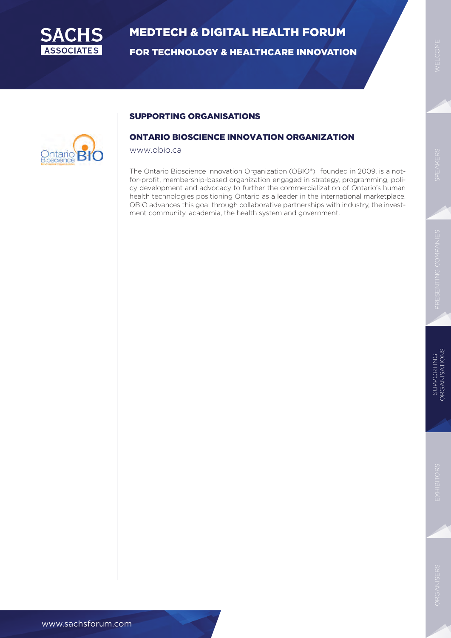

FOR TECHNOLOGY & HEALTHCARE INNOVATION



#### SUPPORTING ORGANISATIONS

#### ONTARIO BIOSCIENCE INNOVATION ORGANIZATION

www.obio.ca

The Ontario Bioscience Innovation Organization (OBIO®) founded in 2009, is a notfor-profit, membership-based organization engaged in strategy, programming, policy development and advocacy to further the commercialization of Ontario's human health technologies positioning Ontario as a leader in the international marketplace. OBIO advances this goal through collaborative partnerships with industry, the investment community, academia, the health system and government.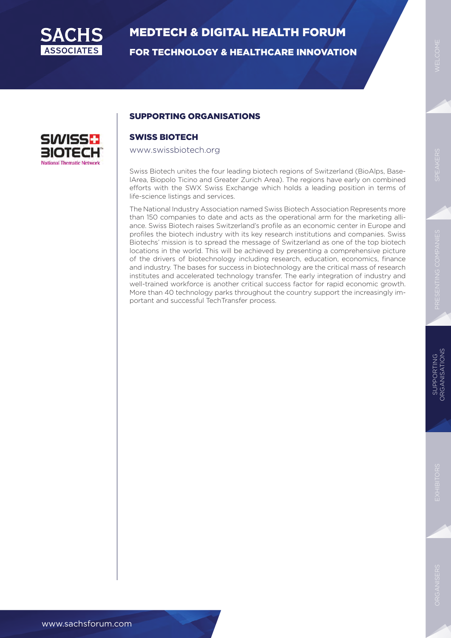

FOR TECHNOLOGY & HEALTHCARE INNOVATION



#### SUPPORTING ORGANISATIONS

#### SWISS BIOTECH

#### www.swissbiotech.org

Swiss Biotech unites the four leading biotech regions of Switzerland (BioAlps, BaselArea, Biopolo Ticino and Greater Zurich Area). The regions have early on combined efforts with the SWX Swiss Exchange which holds a leading position in terms of life-science listings and services.

The National Industry Association named Swiss Biotech Association Represents more than 150 companies to date and acts as the operational arm for the marketing alliance. Swiss Biotech raises Switzerland's profile as an economic center in Europe and profiles the biotech industry with its key research institutions and companies. Swiss Biotechs' mission is to spread the message of Switzerland as one of the top biotech locations in the world. This will be achieved by presenting a comprehensive picture of the drivers of biotechnology including research, education, economics, finance and industry. The bases for success in biotechnology are the critical mass of research institutes and accelerated technology transfer. The early integration of industry and well-trained workforce is another critical success factor for rapid economic growth. More than 40 technology parks throughout the country support the increasingly important and successful TechTransfer process.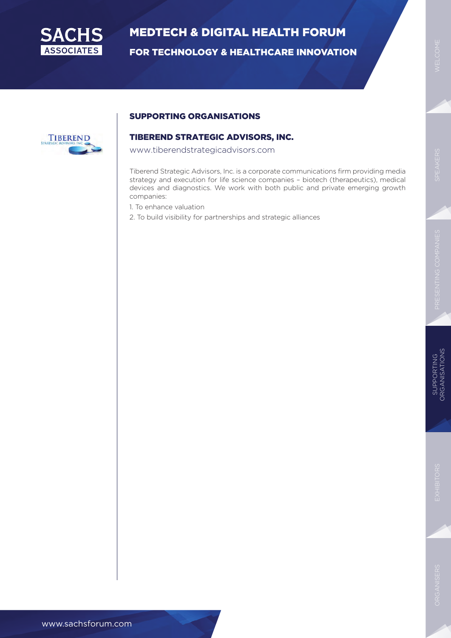

FOR TECHNOLOGY & HEALTHCARE INNOVATION



#### SUPPORTING ORGANISATIONS

#### TIBEREND STRATEGIC ADVISORS, INC.

www.tiberendstrategicadvisors.com

Tiberend Strategic Advisors, Inc. is a corporate communications firm providing media strategy and execution for life science companies – biotech (therapeutics), medical devices and diagnostics. We work with both public and private emerging growth companies:

- 1. To enhance valuation
- 2. To build visibility for partnerships and strategic alliances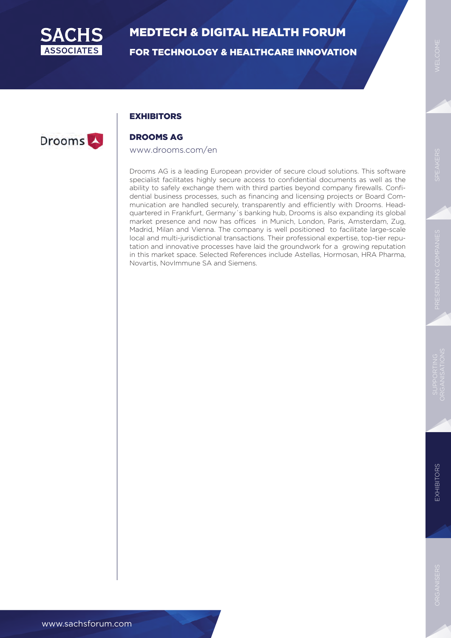

FOR TECHNOLOGY & HEALTHCARE INNOVATION

#### **EXHIBITORS**



#### DROOMS AG

#### www.drooms.com/en

Drooms AG is a leading European provider of secure cloud solutions. This software specialist facilitates highly secure access to confidential documents as well as the ability to safely exchange them with third parties beyond company firewalls. Confidential business processes, such as financing and licensing projects or Board Communication are handled securely, transparently and efficiently with Drooms. Headquartered in Frankfurt, Germany´s banking hub, Drooms is also expanding its global market presence and now has offices in Munich, London, Paris, Amsterdam, Zug, Madrid, Milan and Vienna. The company is well positioned to facilitate large-scale local and multi-jurisdictional transactions. Their professional expertise, top-tier reputation and innovative processes have laid the groundwork for a growing reputation in this market space. Selected References include Astellas, Hormosan, HRA Pharma, Novartis, NovImmune SA and Siemens.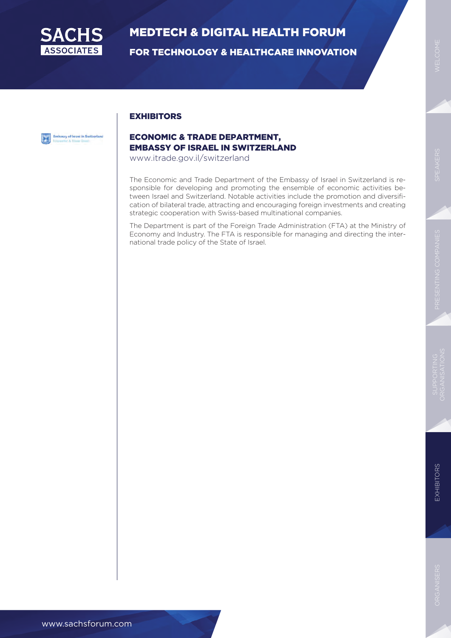

FOR TECHNOLOGY & HEALTHCARE INNOVATION

### Embassy of Israel in Switzerland

#### ECONOMIC & TRADE DEPARTMENT, EMBASSY OF ISRAEL IN SWITZERLAND

www.itrade.gov.il/switzerland

**EXHIBITORS** 

The Economic and Trade Department of the Embassy of Israel in Switzerland is responsible for developing and promoting the ensemble of economic activities between Israel and Switzerland. Notable activities include the promotion and diversification of bilateral trade, attracting and encouraging foreign investments and creating strategic cooperation with Swiss-based multinational companies.

The Department is part of the Foreign Trade Administration (FTA) at the Ministry of Economy and Industry. The FTA is responsible for managing and directing the international trade policy of the State of Israel.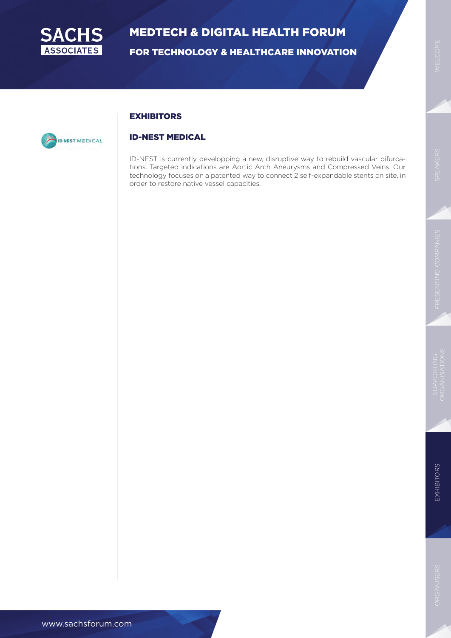

FOR TECHNOLOGY & HEALTHCARE INNOVATION

#### **EXHIBITORS**



#### ID-NEST MEDICAL

ID-NEST is currently developping a new, disruptive way to rebuild vascular bifurcations. Targeted indications are Aortic Arch Aneurysms and Compressed Veins. Our technology focuses on a patented way to connect 2 self-expandable stents on site, in order to restore native vessel capacities.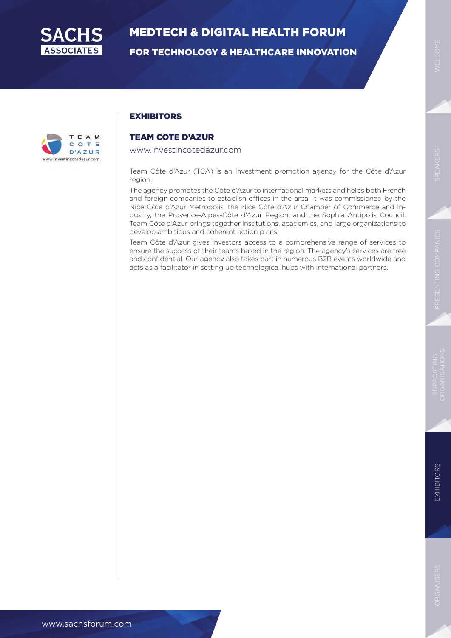

FOR TECHNOLOGY & HEALTHCARE INNOVATION



#### **EXHIBITORS**

#### TEAM COTE D'AZUR

www.investincotedazur.com

Team Côte d'Azur (TCA) is an investment promotion agency for the Côte d'Azur region.

The agency promotes the Côte d'Azur to international markets and helps both French and foreign companies to establish offices in the area. It was commissioned by the Nice Côte d'Azur Metropolis, the Nice Côte d'Azur Chamber of Commerce and Industry, the Provence-Alpes-Côte d'Azur Region, and the Sophia Antipolis Council. Team Côte d'Azur brings together institutions, academics, and large organizations to develop ambitious and coherent action plans.

Team Côte d'Azur gives investors access to a comprehensive range of services to ensure the success of their teams based in the region. The agency's services are free and confidential. Our agency also takes part in numerous B2B events worldwide and acts as a facilitator in setting up technological hubs with international partners.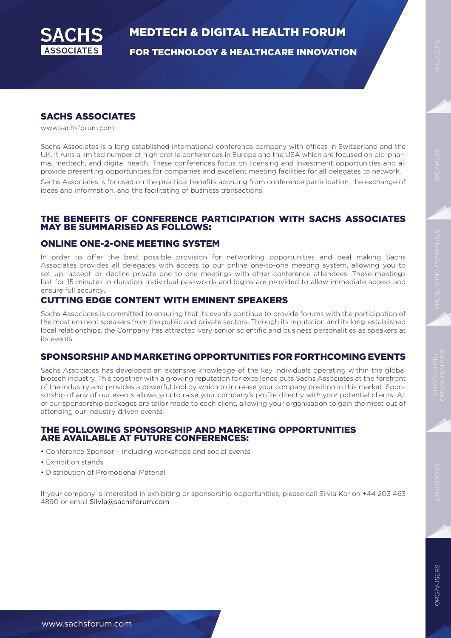

FOR TECHNOLOGY & HEALTHCARE INNOVATION

#### SACHS ASSOCIATES

www.sachsforum.com

Sachs Associates is a long established international conference company with offices in Switzerland and the UK. It runs a limited number of high profile conferences in Europe and the USA which are focused on bio-pharma, medtech, and digital health. These conferences focus on licensing and investment opportunities and all provide presenting opportunities for companies and excellent meeting facilities for all delegates to network.

Sachs Associates is focused on the practical benefits accruing from conference participation, the exchange of ideas and information, and the facilitating of business transactions.

#### THE BENEFITS OF CONFERENCE PARTICIPATION WITH SACHS ASSOCIATES MAY BE SUMMARISED AS FOLLOWS:

#### ONLINE ONE-2-ONE MEETING SYSTEM

In order to offer the best possible provision for networking opportunities and deal making Sachs Associates provides all delegates with access to our online one-to-one meeting system, allowing you to set up, accept or decline private one to one meetings with other conference attendees. These meetings last for 15 minutes in duration. Individual passwords and logins are provided to allow immediate access and ensure full security.

#### CUTTING EDGE CONTENT WITH EMINENT SPEAKERS

Sachs Associates is committed to ensuring that its events continue to provide forums with the participation of the most eminent speakers from the public and private sectors. Through its reputation and its long-established local relationships, the Company has attracted very senior scientific and business personalities as speakers at its events.

#### SPONSORSHIP AND MARKETING OPPORTUNITIES FOR FORTHCOMING EVENTS

Sachs Associates has developed an extensive knowledge of the key individuals operating within the global biotech industry. This together with a growing reputation for excellence puts Sachs Associates at the forefront of the industry and provides a powerful tool by which to increase your company position in this market. Sponsorship of any of our events allows you to raise your company's profile directly with your potential clients. All of our sponsorship packages are tailor made to each client, allowing your organisation to gain the most out of attending our industry driven events.

#### THE FOLLOWING SPONSORSHIP AND MARKETING OPPORTUNITIES ARE AVAILABLE AT FUTURE CONFERENCES:

- Conference Sponsor including workshops and social events
- Exhibition stands
- Distribution of Promotional Material

If your company is interested in exhibiting or sponsorship opportunities, please call Silvia Kar on +44 203 463 4890 or email Silvia@sachsforum.com.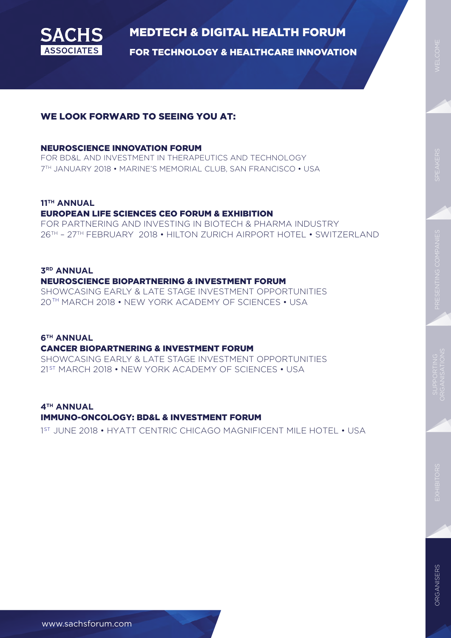

FOR TECHNOLOGY & HEALTHCARE INNOVATION

#### WE LOOK FORWARD TO SEEING YOU AT:

#### NEUROSCIENCE INNOVATION FORUM

FOR BD&L AND INVESTMENT IN THERAPEUTICS AND TECHNOLOGY 7TH JANUARY 2018 • MARINE'S MEMORIAL CLUB, SAN FRANCISCO • USA

#### **11TH ANNUAL**

#### EUROPEAN LIFE SCIENCES CEO FORUM & EXHIBITION

FOR PARTNERING AND INVESTING IN BIOTECH & PHARMA INDUSTRY 26TH – 27TH FEBRUARY 2018 • HILTON ZURICH AIRPORT HOTEL • SWITZERLAND

#### **3RD ANNUAL**  NEUROSCIENCE BIOPARTNERING & INVESTMENT FORUM

SHOWCASING EARLY & LATE STAGE INVESTMENT OPPORTUNITIES 20TH MARCH 2018 • NEW YORK ACADEMY OF SCIENCES • USA

#### **6TH ANNUAL**

#### CANCER BIOPARTNERING & INVESTMENT FORUM

SHOWCASING EARLY & LATE STAGE INVESTMENT OPPORTUNITIES 21st MARCH 2018 • NEW YORK ACADEMY OF SCIENCES • USA

**4TH ANNUAL** 

#### IMMUNO-ONCOLOGY: BD&L & INVESTMENT FORUM

1<sup>ST</sup> JUNE 2018 • HYATT CENTRIC CHICAGO MAGNIFICENT MILE HOTEL • USA